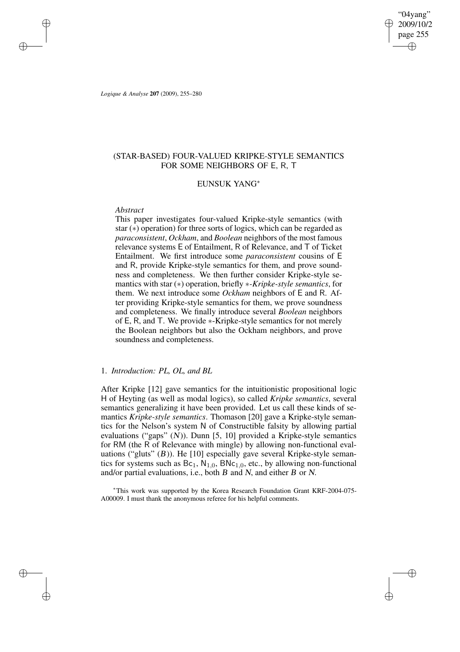*Logique & Analyse* **207** (2009), 255–280

# (STAR-BASED) FOUR-VALUED KRIPKE-STYLE SEMANTICS FOR SOME NEIGHBORS OF E, R, T

## EUNSUK YANG<sup>∗</sup>

## *Abstract*

This paper investigates four-valued Kripke-style semantics (with star (∗) operation) for three sorts of logics, which can be regarded as *paraconsistent*, *Ockham*, and *Boolean* neighbors of the most famous relevance systems E of Entailment, R of Relevance, and T of Ticket Entailment. We first introduce some *paraconsistent* cousins of E and R, provide Kripke-style semantics for them, and prove soundness and completeness. We then further consider Kripke-style semantics with star (∗) operation, briefly ∗*-Kripke-style semantics*, for them. We next introduce some *Ockham* neighbors of E and R. After providing Kripke-style semantics for them, we prove soundness and completeness. We finally introduce several *Boolean* neighbors of E, R, and T. We provide ∗-Kripke-style semantics for not merely the Boolean neighbors but also the Ockham neighbors, and prove soundness and completeness.

# 1. *Introduction: PL, OL, and BL*

After Kripke [12] gave semantics for the intuitionistic propositional logic H of Heyting (as well as modal logics), so called *Kripke semantics*, several semantics generalizing it have been provided. Let us call these kinds of semantics *Kripke-style semantics*. Thomason [20] gave a Kripke-style semantics for the Nelson's system N of Constructible falsity by allowing partial evaluations ("gaps" (N)). Dunn [5, 10] provided a Kripke-style semantics for RM (the R of Relevance with mingle) by allowing non-functional evaluations ("gluts"  $(B)$ ). He [10] especially gave several Kripke-style semantics for systems such as  $Bc_1$ ,  $N_{1,0}$ ,  $BNC_{1,0}$ , etc., by allowing non-functional and/or partial evaluations, i.e., both <sup>B</sup> and <sup>N</sup>, and either <sup>B</sup> or <sup>N</sup>.

<sup>∗</sup>This work was supported by the Korea Research Foundation Grant KRF-2004-075- A00009. I must thank the anonymous referee for his helpful comments.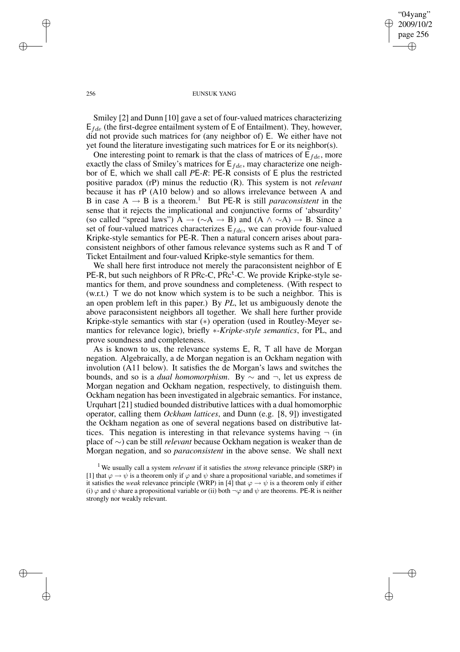#### 256 EUNSUK YANG

Smiley [2] and Dunn [10] gave a set of four-valued matrices characterizing  $E_{fde}$  (the first-degree entailment system of E of Entailment). They, however, did not provide such matrices for (any neighbor of) E. We either have not yet found the literature investigating such matrices for E or its neighbor(s).

One interesting point to remark is that the class of matrices of  $E_{fde}$ , more exactly the class of Smiley's matrices for  $E_{fde}$ , may characterize one neighbor of E, which we shall call *P*E*-R*: PE-R consists of E plus the restricted positive paradox (rP) minus the reductio (R). This system is not *relevant* because it has rP (A10 below) and so allows irrelevance between A and B in case  $A \rightarrow B$  is a theorem.<sup>1</sup> But PE-R is still *paraconsistent* in the sense that it rejects the implicational and conjunctive forms of 'absurdity' (so called "spread laws") A  $\rightarrow (\sim A \rightarrow B)$  and  $(A \land \sim A) \rightarrow B$ . Since a set of four-valued matrices characterizes  $E_{fde}$ , we can provide four-valued Kripke-style semantics for PE-R. Then a natural concern arises about paraconsistent neighbors of other famous relevance systems such as R and T of Ticket Entailment and four-valued Kripke-style semantics for them.

We shall here first introduce not merely the paraconsistent neighbor of E PE-R, but such neighbors of R PRc-C, PRc<sup>t</sup>-C. We provide Kripke-style semantics for them, and prove soundness and completeness. (With respect to (w.r.t.) T we do not know which system is to be such a neighbor. This is an open problem left in this paper.) By *PL*, let us ambiguously denote the above paraconsistent neighbors all together. We shall here further provide Kripke-style semantics with star (∗) operation (used in Routley-Meyer semantics for relevance logic), briefly ∗*-Kripke-style semantics*, for PL, and prove soundness and completeness.

As is known to us, the relevance systems E, R, T all have de Morgan negation. Algebraically, a de Morgan negation is an Ockham negation with involution (A11 below). It satisfies the de Morgan's laws and switches the bounds, and so is a *dual homomorphism*. By ∼ and ¬, let us express de Morgan negation and Ockham negation, respectively, to distinguish them. Ockham negation has been investigated in algebraic semantics. For instance, Urquhart [21] studied bounded distributive lattices with a dual homomorphic operator, calling them *Ockham lattices*, and Dunn (e.g. [8, 9]) investigated the Ockham negation as one of several negations based on distributive lattices. This negation is interesting in that relevance systems having  $\neg$  (in place of ∼) can be still *relevant* because Ockham negation is weaker than de Morgan negation, and so *paraconsistent* in the above sense. We shall next

<sup>1</sup> We usually call a system *relevant* if it satisfies the *strong* relevance principle (SRP) in [1] that  $\varphi \to \psi$  is a theorem only if  $\varphi$  and  $\psi$  share a propositional variable, and sometimes if it satisfies the *weak* relevance principle (WRP) in [4] that  $\varphi \to \psi$  is a theorem only if either (i)  $\varphi$  and  $\psi$  share a propositional variable or (ii) both  $\neg \varphi$  and  $\psi$  are theorems. PE-R is neither strongly nor weakly relevant.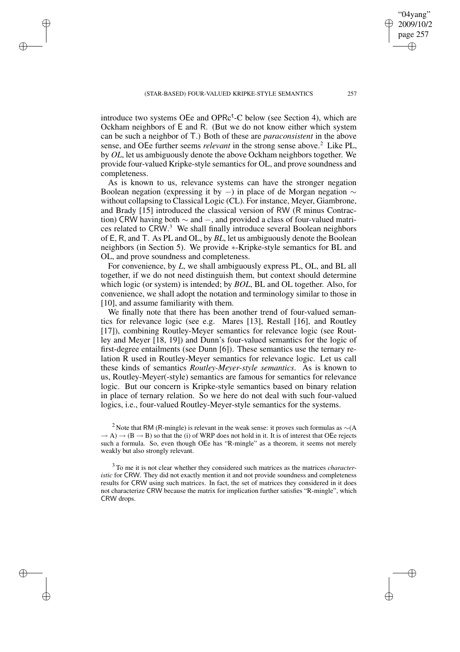introduce two systems OEe and OPRc<sup>t</sup>-C below (see Section 4), which are Ockham neighbors of E and R. (But we do not know either which system can be such a neighbor of T.) Both of these are *paraconsistent* in the above sense, and OEe further seems *relevant* in the strong sense above.<sup>2</sup> Like PL, by *OL*, let us ambiguously denote the above Ockham neighbors together. We provide four-valued Kripke-style semantics for OL, and prove soundness and completeness.

As is known to us, relevance systems can have the stronger negation Boolean negation (expressing it by  $-$ ) in place of de Morgan negation  $\sim$ without collapsing to Classical Logic (CL). For instance, Meyer, Giambrone, and Brady [15] introduced the classical version of RW (R minus Contraction) CRW having both  $\sim$  and  $-$ , and provided a class of four-valued matrices related to CRW.<sup>3</sup> We shall finally introduce several Boolean neighbors of E, R, and T. As PL and OL, by *BL*, let us ambiguously denote the Boolean neighbors (in Section 5). We provide ∗-Kripke-style semantics for BL and OL, and prove soundness and completeness.

For convenience, by *L*, we shall ambiguously express PL, OL, and BL all together, if we do not need distinguish them, but context should determine which logic (or system) is intended; by *BOL*, BL and OL together. Also, for convenience, we shall adopt the notation and terminology similar to those in [10], and assume familiarity with them.

We finally note that there has been another trend of four-valued semantics for relevance logic (see e.g. Mares [13], Restall [16], and Routley [17]), combining Routley-Meyer semantics for relevance logic (see Routley and Meyer [18, 19]) and Dunn's four-valued semantics for the logic of first-degree entailments (see Dunn [6]). These semantics use the ternary relation R used in Routley-Meyer semantics for relevance logic. Let us call these kinds of semantics *Routley-Meyer-style semantics*. As is known to us, Routley-Meyer(-style) semantics are famous for semantics for relevance logic. But our concern is Kripke-style semantics based on binary relation in place of ternary relation. So we here do not deal with such four-valued logics, i.e., four-valued Routley-Meyer-style semantics for the systems.

<sup>2</sup> Note that RM (R-mingle) is relevant in the weak sense: it proves such formulas as  $∼(A$  $\rightarrow$  A)  $\rightarrow$  (B  $\rightarrow$  B) so that the (i) of WRP does not hold in it. It is of interest that OEe rejects such a formula. So, even though OEe has "R-mingle" as a theorem, it seems not merely weakly but also strongly relevant.

<sup>3</sup> To me it is not clear whether they considered such matrices as the matrices *characteristic* for CRW. They did not exactly mention it and not provide soundness and completeness results for CRW using such matrices. In fact, the set of matrices they considered in it does not characterize CRW because the matrix for implication further satisfies "R-mingle", which CRW drops.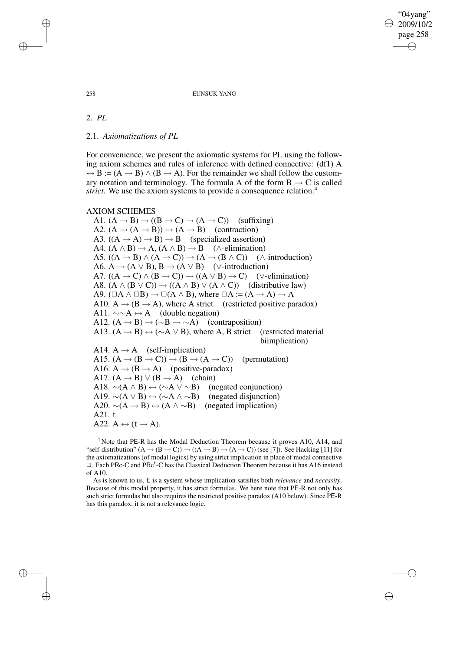#### 258 EUNSUK YANG

2. *PL*

2.1. *Axiomatizations of PL*

For convenience, we present the axiomatic systems for PL using the following axiom schemes and rules of inference with defined connective: (df1) A  $\leftrightarrow$  B := (A  $\rightarrow$  B)  $\land$  (B  $\rightarrow$  A). For the remainder we shall follow the customary notation and terminology. The formula A of the form  $B \rightarrow C$  is called *strict*. We use the axiom systems to provide a consequence relation.<sup>4</sup>

## AXIOM SCHEMES

A1.  $(A \rightarrow B) \rightarrow ((B \rightarrow C) \rightarrow (A \rightarrow C))$  (suffixing) A2.  $(A \rightarrow (A \rightarrow B)) \rightarrow (A \rightarrow B)$  (contraction) A3.  $((A \rightarrow A) \rightarrow B) \rightarrow B$  (specialized assertion) A4.  $(A \land B) \rightarrow A$ ,  $(A \land B) \rightarrow B$  ( $\land$ -elimination) A5.  $((A \rightarrow B) \land (A \rightarrow C)) \rightarrow (A \rightarrow (B \land C))$  ( $\land$ -introduction) A6. A  $\rightarrow$  (A  $\vee$  B), B  $\rightarrow$  (A  $\vee$  B) ( $\vee$ -introduction) A7.  $((A \rightarrow C) \land (B \rightarrow C)) \rightarrow ((A \lor B) \rightarrow C)$  (∨-elimination) A8.  $(A \land (B \lor C)) \rightarrow ((A \land B) \lor (A \land C))$  (distributive law) A9.  $(\Box A \land \Box B) \rightarrow \Box(A \land B)$ , where  $\Box A := (A \rightarrow A) \rightarrow A$ A10.  $A \rightarrow (B \rightarrow A)$ , where A strict (restricted positive paradox) A11.  $\sim \sim A \leftrightarrow A$  (double negation) A12.  $(A \rightarrow B) \rightarrow (\sim B \rightarrow \sim A)$  (contraposition) A13.  $(A \rightarrow B) \leftrightarrow (\sim A \vee B)$ , where A, B strict (restricted material biimplication) A14.  $A \rightarrow A$  (self-implication) A15.  $(A \rightarrow (B \rightarrow C)) \rightarrow (B \rightarrow (A \rightarrow C))$  (permutation) A16.  $A \rightarrow (B \rightarrow A)$  (positive-paradox) A17.  $(A \rightarrow B) \lor (B \rightarrow A)$  (chain) A18.  $\sim(A \land B) \leftrightarrow (\sim A \lor \sim B)$  (negated conjunction) A19.  $\sim(A \vee B) \leftrightarrow (\sim A \wedge \sim B)$  (negated disjunction) A20.  $\sim(A \rightarrow B) \leftrightarrow (A \land \sim B)$  (negated implication) A21. t A22.  $A \leftrightarrow (t \rightarrow A)$ .

<sup>4</sup> Note that PE-R has the Modal Deduction Theorem because it proves A10, A14, and "self-distribution"  $(A \rightarrow (B \rightarrow C)) \rightarrow ((A \rightarrow B) \rightarrow (A \rightarrow C))$  (see [7]). See Hacking [11] for the axiomatizations (of modal logics) by using strict implication in place of modal connective  $\Box$ . Each PRc-C and PRc<sup>t</sup>-C has the Classical Deduction Theorem because it has A16 instead of A10.

As is known to us, E is a system whose implication satisfies both *relevance* and *necessity*. Because of this modal property, it has strict formulas. We here note that PE-R not only has such strict formulas but also requires the restricted positive paradox (A10 below). Since PE-R has this paradox, it is not a relevance logic.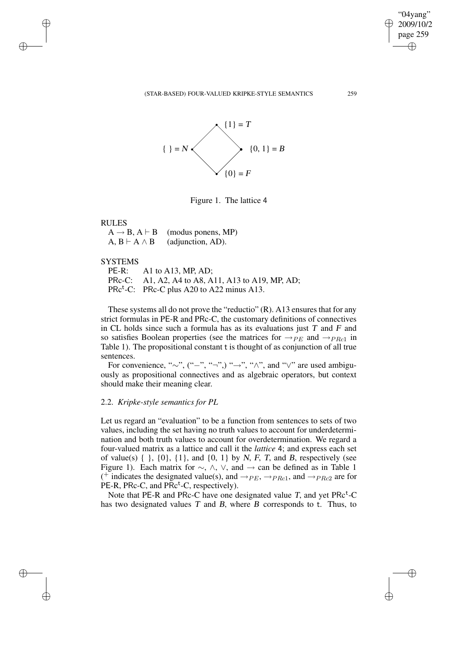(STAR-BASED) FOUR-VALUED KRIPKE-STYLE SEMANTICS 259



Figure 1. The lattice 4

### RULES

 $A \rightarrow B$ ,  $A \vdash B$  (modus ponens, MP)  $A, B \vdash A \land B$  (adjunction, AD).

## SYSTEMS

PE-R: A1 to A13, MP, AD; PRc-C: A1, A2, A4 to A8, A11, A13 to A19, MP, AD; PRc<sup>t</sup>-C: PRc-C plus A20 to A22 minus A13.

These systems all do not prove the "reductio" (R). A13 ensures that for any strict formulas in PE-R and PRc-C, the customary definitions of connectives in CL holds since such a formula has as its evaluations just  $T$  and  $F$  and so satisfies Boolean properties (see the matrices for  $\rightarrow_{PE}$  and  $\rightarrow_{PRc1}$  in Table 1). The propositional constant t is thought of as conjunction of all true sentences.

For convenience, "∼", ("−", "¬", "→", "∧", and " $\vee$ " are used ambiguously as propositional connectives and as algebraic operators, but context should make their meaning clear.

# 2.2. *Kripke-style semantics for PL*

Let us regard an "evaluation" to be a function from sentences to sets of two values, including the set having no truth values to account for underdetermination and both truth values to account for overdetermination. We regard a four-valued matrix as a lattice and call it the *lattice* 4; and express each set of value(s)  $\{ \}$ ,  $\{0\}$ ,  $\{1\}$ , and  $\{0, 1\}$  by N, F, T, and B, respectively (see Figure 1). Each matrix for  $\sim$ ,  $\land$ ,  $\lor$ , and  $\rightarrow$  can be defined as in Table 1 (<sup>+</sup> indicates the designated value(s), and  $\rightarrow_{PE}$ ,  $\rightarrow_{PRc1}$ , and  $\rightarrow_{PRc2}$  are for PE-R, PRc-C, and  $\overline{PRc}^t$ -C, respectively).

Note that PE-R and PRc-C have one designated value  $T$ , and yet PRc<sup>t</sup>-C has two designated values  $T$  and  $B$ , where  $B$  corresponds to t. Thus, to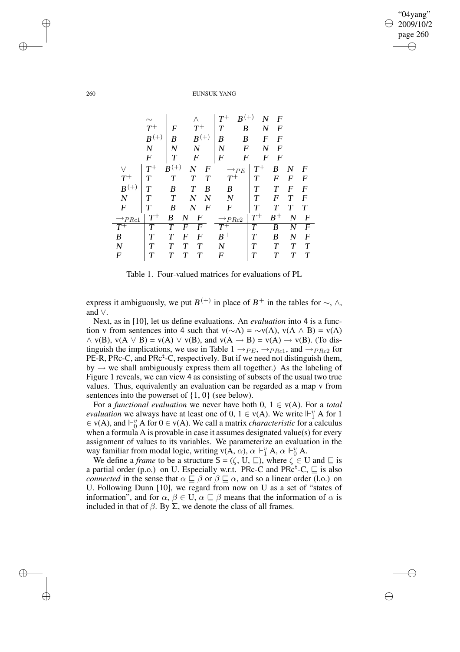|                      |                  |           |                  |   | ${\cal T}^+$          | $B^{(+)}$        | $\mathbf N$ | $\boldsymbol{F}$ |        |                  |
|----------------------|------------------|-----------|------------------|---|-----------------------|------------------|-------------|------------------|--------|------------------|
|                      | $T^+$            | F         | $T^+$            |   | T                     | B                | N           | F                |        |                  |
|                      | $B^{(+)}$        | B         | $B^{(+)}$        |   | B                     | B                | F           | $\boldsymbol{F}$ |        |                  |
|                      | $\overline{N}$   | N         | $\overline{N}$   |   | N                     | F                | N           | $\boldsymbol{F}$ |        |                  |
|                      | $\boldsymbol{F}$ | T         | $\boldsymbol{F}$ |   | F                     | F                | F           | F                |        |                  |
|                      | $T^+$            | $B^{(+)}$ | $\overline{N}$   | F |                       | $\rightarrow$ PE | $T^+$       | B                | N      | $\boldsymbol{F}$ |
|                      | T                | $\tau$    | T                | T | $\bar{T}^{\mp}$       |                  | T           | F                | F      | F                |
| $B^{(+)}$            | Т                | B         | T                | B | B                     |                  | T           | T                | F      | F                |
| $\boldsymbol{N}$     | $\tau$           | T         | N                | N | N                     |                  | T           | F                | Т      | F                |
| $\boldsymbol{F}$     | Т                | B         | $\boldsymbol{N}$ | F | F                     |                  | T           | T                | T      | T                |
| $\rightarrow_{PRc1}$ | $T^+$            | B<br>N    | F                |   | $\rightarrow P R c 2$ |                  | $T^+$       | $B^+$            | N      | $\boldsymbol{F}$ |
|                      | Т                |           | F                |   | $T^+$                 |                  | T           | B                | N      | F                |
| B                    | Т                | F         | F                |   | $B^+$                 |                  | T           | B                | N      | F                |
| $\boldsymbol{N}$     | Т                |           | $\tau$           |   | N                     |                  | Т           | T                | $\tau$ | $\tau$           |
| $\boldsymbol{F}$     | T                |           | T                |   | $\boldsymbol{F}$      |                  | T           | T                | T      | T                |
|                      |                  |           |                  |   |                       |                  |             |                  |        |                  |

Table 1. Four-valued matrices for evaluations of PL

express it ambiguously, we put  $B^{(+)}$  in place of  $B^{+}$  in the tables for  $\sim$ ,  $\wedge$ , and ∨.

Next, as in [10], let us define evaluations. An *evaluation* into 4 is a function v from sentences into 4 such that  $v(\sim A) = \sim v(A)$ ,  $v(A \land B) = v(A)$  $\land$  v(B), v(A  $\lor$  B) = v(A)  $\lor$  v(B), and v(A  $\rightarrow$  B) = v(A)  $\rightarrow$  v(B). (To distinguish the implications, we use in Table 1  $\rightarrow_{PE}$ ,  $\rightarrow_{PRc1}$ , and  $\rightarrow_{PRc2}$  for  $PE-R$ , PRc-C, and PRc<sup>t</sup>-C, respectively. But if we need not distinguish them, by  $\rightarrow$  we shall ambiguously express them all together.) As the labeling of Figure 1 reveals, we can view 4 as consisting of subsets of the usual two true values. Thus, equivalently an evaluation can be regarded as a map v from sentences into the powerset of {1, 0} (see below).

For a *functional evaluation* we never have both  $0, 1 \in v(A)$ . For a *total evaluation* we always have at least one of 0,  $1 \in v(A)$ . We write  $\Vdash^v_1 A$  for 1  $\in$  v(A), and  $\vdash_{0}^{v}$  A for  $0 \in$  v(A). We call a matrix *characteristic* for a calculus when a formula A is provable in case it assumes designated value(s) for every assignment of values to its variables. We parameterize an evaluation in the way familiar from modal logic, writing  $v(A, \alpha)$ ,  $\alpha \Vdash^v_1 A$ ,  $\alpha \Vdash^v_0 A$ .

We define a *frame* to be a structure  $S = (\zeta, U, \sqsubseteq)$ , where  $\zeta \in U$  and  $\sqsubseteq$  is a partial order (p.o.) on U. Especially w.r.t. PRc-C and PRc<sup>t</sup>-C,  $\sqsubseteq$  is also *connected* in the sense that  $\alpha \subseteq \beta$  or  $\beta \subseteq \alpha$ , and so a linear order (l.o.) on U. Following Dunn [10], we regard from now on U as a set of "states of information", and for  $\alpha$ ,  $\beta \in U$ ,  $\alpha \sqsubseteq \beta$  means that the information of  $\alpha$  is included in that of  $β$ . By  $Σ$ , we denote the class of all frames.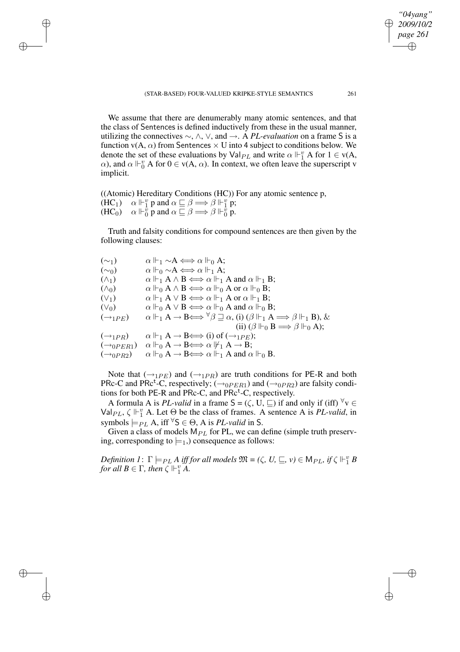We assume that there are denumerably many atomic sentences, and that the class of Sentences is defined inductively from these in the usual manner, utilizing the connectives ∼, ∧, ∨, and →. A *PL-evaluation* on a frame S is a function  $v(A, \alpha)$  from Sentences  $\times$  U into 4 subject to conditions below. We denote the set of these evaluations by  $\text{Val}_{PL}$  and write  $\alpha \Vdash_{1}^{v} A$  for  $1 \in \text{v}(A, \mathbb{R})$  $\alpha$ ), and  $\alpha \Vdash_{0}^{v} A$  for  $0 \in v(A, \alpha)$ . In context, we often leave the superscript v implicit.

((Atomic) Hereditary Conditions (HC)) For any atomic sentence p,  $(HC_1)$   $\alpha \Vdash^v_1 p$  and  $\alpha \sqsubseteq \beta \Longrightarrow \beta \Vdash^v_1 p$ ;  $(HC_0)$   $\alpha \Vdash^{\overrightarrow{v}}_0 \mathbf{p}$  and  $\alpha \sqsubseteq \beta \Longrightarrow \beta \Vdash^{\overrightarrow{v}}_0 \mathbf{p}$ .

Truth and falsity conditions for compound sentences are then given by the following clauses:

 $(\sim_1)$   $\alpha \Vdash_1 \sim A \Longleftrightarrow \alpha \Vdash_0 A;$  $(\sim_0)$   $\alpha \Vdash_0 \sim A \Longleftrightarrow \alpha \Vdash_1 A;$  $(\wedge_1)$   $\alpha \Vdash_1 A \wedge B \Longleftrightarrow \alpha \Vdash_1 A$  and  $\alpha \Vdash_1 B$ ; ( $\wedge_0$ )  $\alpha \Vdash_0 A \wedge B \Longleftrightarrow \alpha \Vdash_0 A \text{ or } \alpha \Vdash_0 B;$ <br>( $\vee_1$ )  $\alpha \Vdash_1 A \vee B \Longleftrightarrow \alpha \Vdash_1 A \text{ or } \alpha \Vdash_1 B;$ (∨<sub>1</sub>)  $\alpha \Vdash_1 A \lor B \Longleftrightarrow \alpha \Vdash_1 A \text{ or } \alpha \Vdash_1 B;$ <br>(∨<sub>0</sub>)  $\alpha \Vdash_0 A \lor B \Longleftrightarrow \alpha \Vdash_0 A \text{ and } \alpha \Vdash_0 B$  $\alpha \Vdash_0 A \vee B \Longleftrightarrow \alpha \Vdash_0 A$  and  $\alpha \Vdash_0 B$ ;  $(\rightarrow_{1PE})$   $\alpha \Vdash_1 A \rightarrow B \Longleftrightarrow \forall \beta \sqsupseteq \alpha$ , (i)  $(\beta \Vdash_1 A \Longrightarrow \beta \Vdash_1 B)$ , & (ii)  $(\beta \Vdash_0 B \Longrightarrow \beta \Vdash_0 A);$  $(\rightarrow_{1PR})$   $\alpha \Vdash_1 A \rightarrow B \Longleftrightarrow (i)$  of  $(\rightarrow_{1PE});$  $(\rightarrow_{0PER1})$   $\alpha \Vdash_{0} A \rightarrow B \Longleftrightarrow \alpha \Vdash_{1} A \rightarrow B;$  $(\rightarrow_{0PR2})$   $\alpha \Vdash_{0} A \rightarrow B \Longleftrightarrow \alpha \Vdash_{1} A$  and  $\alpha \Vdash_{0} B$ .

Note that  $(\rightarrow_{1PE})$  and  $(\rightarrow_{1PR})$  are truth conditions for PE-R and both PRc-C and PRc<sup>t</sup>-C, respectively; ( $\rightarrow_{0PER1}$ ) and ( $\rightarrow_{0PR2}$ ) are falsity conditions for both PE-R and PRc-C, and PRc<sup>t</sup>-C, respectively.

A formula A is *PL-valid* in a frame  $S = (\zeta, U, \sqsubseteq)$  if and only if (iff)  $\forall v \in$  $Val_{PL}$ ,  $\zeta \Vdash_{1}^{v}$  A. Let  $\Theta$  be the class of frames. A sentence A is *PL-valid*, in symbols  $\models$ *PL* A, iff  $\forall$ S  $\in \Theta$ , A is *PL-valid* in S.

Given a class of models  $M_{PL}$  for PL, we can define (simple truth preserving, corresponding to  $\models_1$ , consequence as follows:

*Definition*  $I: \Gamma \models_{PL} A$  *iff for all models*  $\mathfrak{M} = (\zeta, U, \sqsubseteq, v) \in M_{PL}$ , *if*  $\zeta \Vdash_{1}^{v} B$ *for all*  $B \in \Gamma$ *, then*  $\zeta \Vdash^v_1 A$ *.*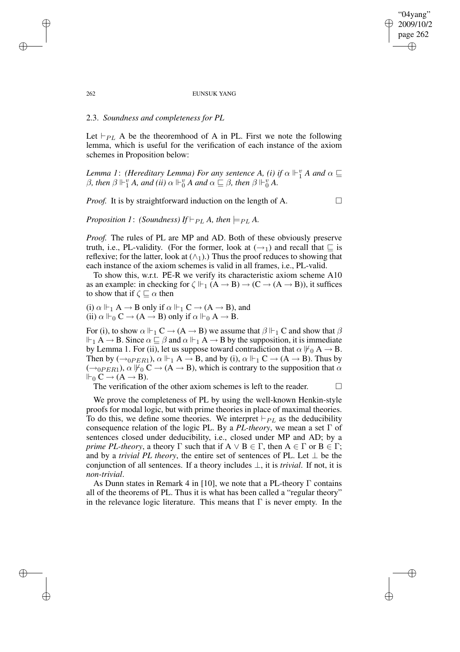#### 262 EUNSUK YANG

## 2.3. *Soundness and completeness for PL*

Let  $\vdash_{PL}$  A be the theoremhood of A in PL. First we note the following lemma, which is useful for the verification of each instance of the axiom schemes in Proposition below:

*Lemma* 1: *(Hereditary Lemma) For any sentence A, (i) if*  $\alpha \Vdash^v_1 A$  *and*  $\alpha \sqsubseteq$  $\beta$ , *then*  $\beta \Vdash^v_1 A$ , *and*  $(ii) \alpha \Vdash^v_0 A$  *and*  $\alpha \sqsubseteq \beta$ , *then*  $\beta \Vdash^v_0 A$ .

*Proof.* It is by straightforward induction on the length of A.

*Proposition 1*: *(Soundness) If*  $\models$  *PLA*, *then*  $\models$  *PLA*.

*Proof.* The rules of PL are MP and AD. Both of these obviously preserve truth, i.e., PL-validity. (For the former, look at  $(\rightarrow_1)$  and recall that  $\sqsubseteq$  is reflexive; for the latter, look at  $(\wedge_1)$ .) Thus the proof reduces to showing that each instance of the axiom schemes is valid in all frames, i.e., PL-valid.

To show this, w.r.t. PE-R we verify its characteristic axiom scheme A10 as an example: in checking for  $\zeta \Vdash_{1} (A \rightarrow B) \rightarrow (C \rightarrow (A \rightarrow B))$ , it suffices to show that if  $\zeta \sqsubset \alpha$  then

(i)  $\alpha \Vdash_1 A \to B$  only if  $\alpha \Vdash_1 C \to (A \to B)$ , and (ii)  $\alpha \Vdash_{0} C \to (A \to B)$  only if  $\alpha \Vdash_{0} A \to B$ .

For (i), to show  $\alpha \Vdash_1 C \to (A \to B)$  we assume that  $\beta \Vdash_1 C$  and show that  $\beta$  $\Vdash_1 A \to B$ . Since  $\alpha \sqsubseteq \beta$  and  $\alpha \Vdash_1 A \to B$  by the supposition, it is immediate by Lemma 1. For (ii), let us suppose toward contradiction that  $\alpha \nvDash_0 A \rightarrow B$ . Then by  $(\rightarrow_{0PER1})$ ,  $\alpha \Vdash_1 A \rightarrow B$ , and by (i),  $\alpha \Vdash_1 C \rightarrow (A \rightarrow B)$ . Thus by  $(\rightarrow_{0PER1}), \alpha \nvDash_{0} C \rightarrow (A \rightarrow B)$ , which is contrary to the supposition that  $\alpha$  $\Vdash_0 C \to (A \to B).$ 

The verification of the other axiom schemes is left to the reader.  $\Box$ 

We prove the completeness of PL by using the well-known Henkin-style proofs for modal logic, but with prime theories in place of maximal theories. To do this, we define some theories. We interpret  $\vdash_{PL}$  as the deducibility consequence relation of the logic PL. By a *PL-theory*, we mean a set Γ of sentences closed under deducibility, i.e., closed under MP and AD; by a *prime PL-theory*, a theory  $\Gamma$  such that if  $A \lor B \in \Gamma$ , then  $A \in \Gamma$  or  $B \in \Gamma$ ; and by a *trivial PL theory*, the entire set of sentences of PL. Let  $\perp$  be the conjunction of all sentences. If a theory includes ⊥, it is *trivial*. If not, it is *non-trivial*.

As Dunn states in Remark 4 in [10], we note that a PL-theory  $\Gamma$  contains all of the theorems of PL. Thus it is what has been called a "regular theory" in the relevance logic literature. This means that  $\Gamma$  is never empty. In the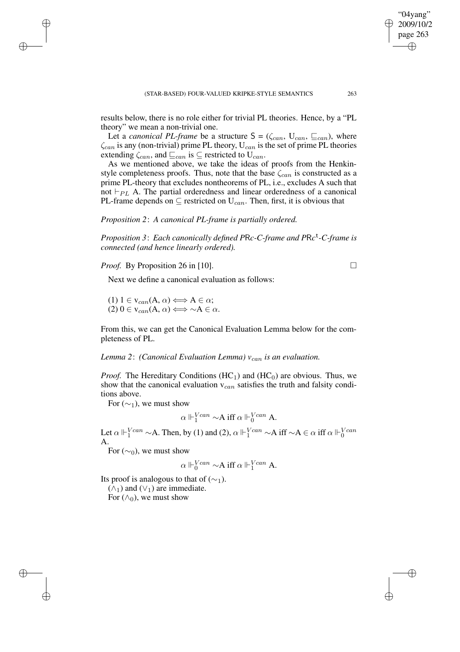results below, there is no role either for trivial PL theories. Hence, by a "PL theory" we mean a non-trivial one.

Let a *canonical PL-frame* be a structure  $S = (\zeta_{can}, U_{can}, \sqsubseteq_{can})$ , where  $\zeta_{can}$  is any (non-trivial) prime PL theory,  $U_{can}$  is the set of prime PL theories extending  $\zeta_{can}$ , and  $\sqsubseteq_{can}$  is  $\subseteq$  restricted to U<sub>can</sub>.

As we mentioned above, we take the ideas of proofs from the Henkinstyle completeness proofs. Thus, note that the base  $\zeta_{can}$  is constructed as a prime PL-theory that excludes nontheorems of PL, i.e., excludes A such that not  $\vdash_{PL}$  A. The partial orderedness and linear orderedness of a canonical PL-frame depends on  $\subseteq$  restricted on  $U_{can}$ . Then, first, it is obvious that

# *Proposition 2*: *A canonical PL-frame is partially ordered.*

*Proposition 3*: *Each canonically defined P*R*c-C-frame and P*R*c* t *-C-frame is connected (and hence linearly ordered).*

*Proof.* By Proposition 26 in [10]. □

Next we define a canonical evaluation as follows:

(1)  $1 \in v_{can}(A, \alpha) \Longleftrightarrow A \in \alpha;$  $(2) 0 \in V_{can}(A, \alpha) \Longleftrightarrow \neg A \in \alpha.$ 

From this, we can get the Canonical Evaluation Lemma below for the completeness of PL.

*Lemma* 2: *(Canonical Evaluation Lemma)*  $v_{can}$  *is an evaluation.* 

*Proof.* The Hereditary Conditions (HC<sub>1</sub>) and (HC<sub>0</sub>) are obvious. Thus, we show that the canonical evaluation  $v_{can}$  satisfies the truth and falsity conditions above.

For  $(\sim_1)$ , we must show

$$
\alpha \Vdash_1^{Vcan} \sim A \text{ iff } \alpha \Vdash_0^{Vcan} A.
$$

Let  $\alpha \Vdash_1^{Vcan} \sim A$ . Then, by (1) and (2),  $\alpha \Vdash_1^{Vcan} \sim A$  iff  $\sim A \in \alpha$  iff  $\alpha \Vdash_0^{Vcan} A$ .

For  $(\sim_0)$ , we must show

$$
\alpha \Vdash_0^{Vcan} \sim A \text{ iff } \alpha \Vdash_1^{Vcan} A.
$$

Its proof is analogous to that of  $(\sim_1)$ .

 $(\wedge_1)$  and  $(\vee_1)$  are immediate.

For  $(\wedge_0)$ , we must show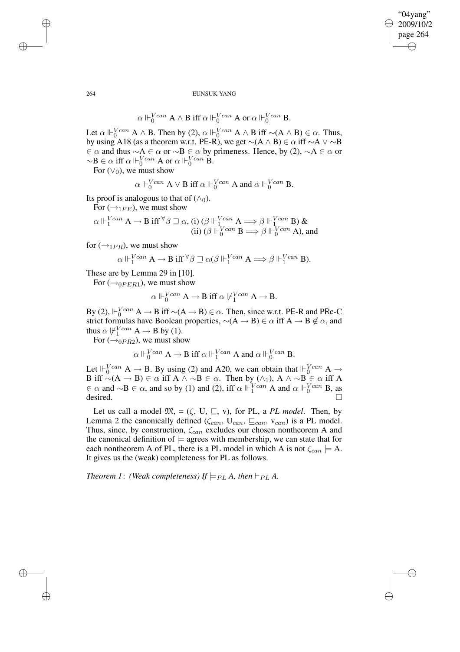$$
\alpha\Vdash_0^{Vcan} A\wedge B\text{ iff }\alpha\Vdash_0^{Vcan} A\text{ or }\alpha\Vdash_0^{Vcan} B.
$$

Let  $\alpha \Vdash_0^{Vcan} A \wedge B$ . Then by (2),  $\alpha \Vdash_0^{Vcan} A \wedge B$  iff  $\sim(A \wedge B) \in \alpha$ . Thus, by using A18 (as a theorem w.r.t. PE-R), we get  $\sim(A \wedge B) \in \alpha$  iff  $\sim A \vee \sim B$  $\in \alpha$  and thus  $\sim A \in \alpha$  or  $\sim B \in \alpha$  by primeness. Hence, by (2),  $\sim A \in \alpha$  or  $\sim$ B ∈  $\alpha$  iff  $\alpha \Vdash_{0}^{Vcan} A$  or  $\alpha \Vdash_{0}^{Vcan} B$ .

For  $(\vee_0)$ , we must show

$$
\alpha\Vdash^{Vcan}_{0}\mathbf{A}\vee\mathbf{B}\text{ iff }\alpha\Vdash^{Vcan}_{0}\mathbf{A}\text{ and }\alpha\Vdash^{Vcan}_{0}\mathbf{B}.
$$

Its proof is analogous to that of  $(\wedge_0)$ .

For  $(\rightarrow_{1PF})$ , we must show

$$
\alpha \Vdash_1^{Vcan} A \to B \text{ iff } {}^{\forall} \beta \sqsupseteq \alpha, \text{ (i) } (\beta \Vdash_1^{Vcan} A \Longrightarrow \beta \Vdash_1^{Vcan} B) \& \text{ (ii) } (\beta \Vdash_0^{Vcan} B \Longrightarrow \beta \Vdash_0^{Vcan} A), \text{ and}
$$

for  $(\rightarrow_{1PR})$ , we must show

$$
\alpha\Vdash^{Vcan}_1 A\to B\ {\rm iff}\ \forall \beta\sqsupseteq\alpha (\beta\Vdash^{Vcan}_1 A\Longrightarrow \beta\Vdash^{Vcan}_1 B).
$$

These are by Lemma 29 in [10].

For  $(\rightarrow_{0PER1})$ , we must show

$$
\alpha\Vdash^{Vcan}_0 A\to B\ {\rm iff}\ \alpha\,\not\Vdash^{Vcan}_1 A\to B.
$$

By (2),  $\Vdash_{0}^{Vcan} A \to B$  iff  $\sim(A \to B) \in \alpha$ . Then, since w.r.t. PE-R and PRc-C strict formulas have Boolean properties,  $\sim(A \rightarrow B) \in \alpha$  iff  $A \rightarrow B \notin \alpha$ , and thus  $\alpha \not\Vdash^{Vcan}_{1} A \rightarrow B$  by (1).

For  $(\rightarrow$ <sub>0PR2</sub>), we must show

 $\alpha \Vdash_{0}^{Vcan} A \to B$  iff  $\alpha \Vdash_{1}^{Vcan} A$  and  $\alpha \Vdash_{0}^{Vcan} B$ .

Let  $\Vdash_0^{Vcan} A \to B$ . By using (2) and A20, we can obtain that  $\Vdash_0^{Vcan} A \to$ B iff  $\sim(A \to B) \in \alpha$  iff A  $\land \sim B \in \alpha$ . Then by  $(\land_1)$ , A  $\land \sim B \in \alpha$  iff A  $\in \alpha$  and  $\sim$ B  $\in \alpha$ , and so by (1) and (2), iff  $\alpha \Vdash_1^{Vcan} A$  and  $\alpha \Vdash_0^{Vcan} B$ , as desired.  $\Box$ 

Let us call a model  $\mathfrak{M}$ , = ( $\zeta$ , U,  $\sqsubseteq$ , v), for PL, a *PL model*. Then, by Lemma 2 the canonically defined  $(\zeta_{can}, \zeta_{can}, \zeta_{can}, \zeta_{can})$  is a PL model. Thus, since, by construction,  $\zeta_{can}$  excludes our chosen nontheorem A and the canonical definition of  $\models$  agrees with membership, we can state that for each nontheorem A of PL, there is a PL model in which A is not  $\zeta_{can} \models A$ . It gives us the (weak) completeness for PL as follows.

*Theorem 1: (Weak completeness) If*  $\models$ <sub>*PL</sub> A*, *then*  $\models$  *PL A*.</sub>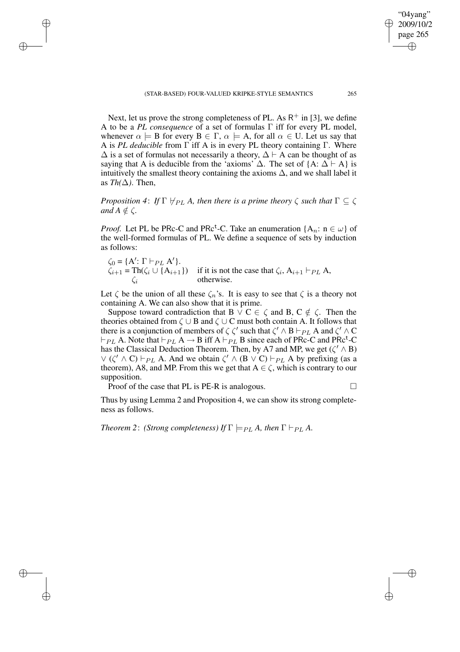Next, let us prove the strong completeness of PL. As  $R^+$  in [3], we define A to be a *PL consequence* of a set of formulas Γ iff for every PL model, whenever  $\alpha \models B$  for every  $B \in \Gamma$ ,  $\alpha \models A$ , for all  $\alpha \in U$ . Let us say that A is *PL deducible* from Γ iff A is in every PL theory containing Γ. Where  $\Delta$  is a set of formulas not necessarily a theory,  $\Delta \vdash A$  can be thought of as saying that A is deducible from the 'axioms'  $\Delta$ . The set of {A:  $\Delta \vdash A$ } is intuitively the smallest theory containing the axioms  $\Delta$ , and we shall label it as  $Th(\Delta)$ . Then,

*Proposition* 4: *If*  $\Gamma \nvdash_{PL} A$ , *then there is a prime theory*  $\zeta$  *such that*  $\Gamma \subseteq \zeta$ *and*  $A \notin C$ .

*Proof.* Let PL be PRc-C and PRc<sup>t</sup>-C. Take an enumeration  $\{A_n: n \in \omega\}$  of the well-formed formulas of PL. We define a sequence of sets by induction as follows:

 $\zeta_0 = \{A' : \Gamma \vdash_{PL} A'\}.$  $\zeta_{i+1} = \text{Th}(\zeta_i \cup \{A_{i+1}\})$  if it is not the case that  $\zeta_i$ ,  $A_{i+1} \vdash_{PL} A$ , otherwise.

Let  $\zeta$  be the union of all these  $\zeta_n$ 's. It is easy to see that  $\zeta$  is a theory not containing A. We can also show that it is prime.

Suppose toward contradiction that B  $\vee$  C  $\in \zeta$  and B, C  $\notin \zeta$ . Then the theories obtained from  $\zeta \cup B$  and  $\zeta \cup C$  must both contain A. It follows that there is a conjunction of members of  $\zeta \zeta'$  such that  $\zeta' \wedge B \vdash_{PL} A$  and  $\zeta' \wedge C$  $\vdash_{PL}$  A. Note that  $\vdash_{PL}$  A  $\rightarrow$  B iff A  $\vdash_{PL}$  B since each of PRc-C and PRc<sup>t</sup>-C has the Classical Deduction Theorem. Then, by A7 and MP, we get ( $\zeta' \wedge B$ )  $\vee$  ( $\zeta' \wedge C$ )  $\vdash_{PL} A$ . And we obtain  $\zeta' \wedge (B \vee C) \vdash_{PL} A$  by prefixing (as a theorem), A8, and MP. From this we get that  $A \in \zeta$ , which is contrary to our supposition.

Proof of the case that PL is PE-R is analogous.  $\Box$ 

Thus by using Lemma 2 and Proposition 4, we can show its strong completeness as follows.

*Theorem* 2: *(Strong completeness) If*  $\Gamma \models_{PL} A$ , then  $\Gamma \vdash_{PL} A$ .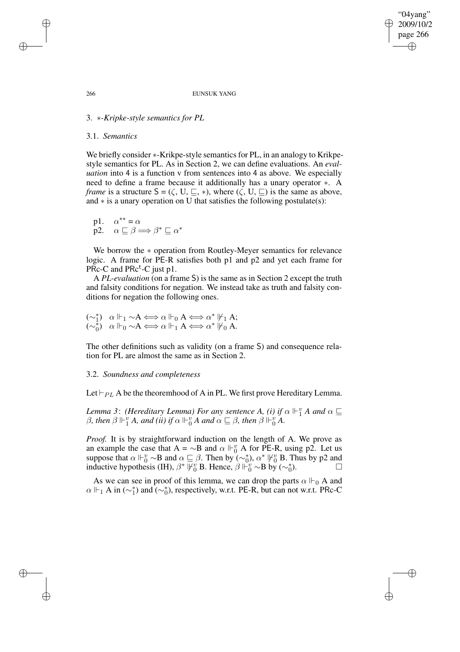#### 266 EUNSUK YANG

# 3. ∗*-Kripke-style semantics for PL*

## 3.1. *Semantics*

We briefly consider  $*$ -Krikpe-style semantics for PL, in an analogy to Krikpestyle semantics for PL. As in Section 2, we can define evaluations. An *evaluation* into 4 is a function v from sentences into 4 as above. We especially need to define a frame because it additionally has a unary operator ∗. A *frame* is a structure  $S = (\zeta, U, \subseteq, *)$ , where  $(\zeta, U, \subseteq)$  is the same as above, and ∗ is a unary operation on U that satisfies the following postulate(s):

p1.  $\alpha^{**} = \alpha$ p2.  $\alpha \sqsubseteq \beta \Longrightarrow \beta^* \sqsubseteq \alpha^*$ 

We borrow the ∗ operation from Routley-Meyer semantics for relevance logic. A frame for PE-R satisfies both p1 and p2 and yet each frame for  $P<sup>E</sup>$  PRc<sup>t</sup>-C just p1.

A *PL-evaluation* (on a frame S) is the same as in Section 2 except the truth and falsity conditions for negation. We instead take as truth and falsity conditions for negation the following ones.

$$
\begin{array}{ll} (\sim_1^*) & \alpha \Vdash_1 \sim \! A \Longleftrightarrow \alpha \Vdash_0 A \Longleftrightarrow \alpha^* \Vdash_1 A; \\ (\sim_0^*) & \alpha \Vdash_0 \sim \! A \Longleftrightarrow \alpha \Vdash_1 A \Longleftrightarrow \alpha^* \Vdash_0 A. \end{array}
$$

The other definitions such as validity (on a frame S) and consequence relation for PL are almost the same as in Section 2.

## 3.2. *Soundness and completeness*

Let  $\vdash_{PL}$  A be the theoremhood of A in PL. We first prove Hereditary Lemma.

*Lemma* 3: *(Hereditary Lemma) For any sentence A, (i) if*  $\alpha \Vdash^v_1 A$  *and*  $\alpha \sqsubseteq$  $\beta$ , *then*  $\beta \Vdash^v_1 A$ , *and (ii) if*  $\alpha \Vdash^v_0 A$  *and*  $\alpha \sqsubseteq \beta$ , *then*  $\beta \Vdash^v_0 A$ .

*Proof.* It is by straightforward induction on the length of A. We prove as an example the case that A =  $\sim$ B and  $\alpha \Vdash^v_0$  A for PE-R, using p2. Let us suppose that  $\alpha \Vdash^v_0 \sim B$  and  $\alpha \sqsubseteq \beta$ . Then by  $(\sim^*_0)$ ,  $\alpha^* \Vdash^v_0 B$ . Thus by p2 and inductive hypothesis (IH),  $\beta^* \overline{V}_0^v$  B. Hence,  $\beta \overline{V}_0^v \sim B$  by ( $\sim_0^*$ ) ).  $\qquad \qquad$   $\Box$ 

As we can see in proof of this lemma, we can drop the parts  $\alpha \Vdash_{0} A$  and  $\alpha \Vdash_1 A$  in  $(\sim_1^*)$  and  $(\sim_0^*)$ , respectively, w.r.t. PE-R, but can not w.r.t. PRc-C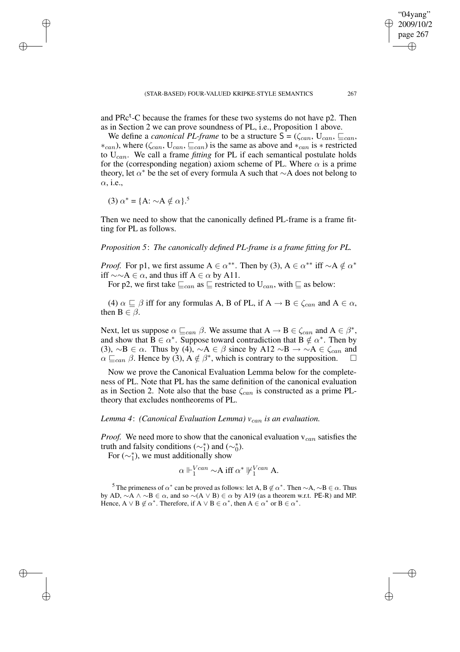and PRc<sup>t</sup>-C because the frames for these two systems do not have p2. Then as in Section 2 we can prove soundness of PL, i.e., Proposition 1 above.

We define a *canonical PL-frame* to be a structure  $S = (\zeta_{can}, U_{can}, \sqsubseteq_{can}, \sqsubseteq_{can})$  $*_{can}$ ), where ( $\zeta_{can}$ ,  $U_{can}$ ,  $\sqsubseteq_{can}$ ) is the same as above and  $*_{can}$  is  $*$  restricted to  $U_{can}$ . We call a frame *fitting* for PL if each semantical postulate holds for the (corresponding negation) axiom scheme of PL. Where  $\alpha$  is a prime theory, let  $\alpha^*$  be the set of every formula A such that ∼A does not belong to  $\alpha$ , i.e.,

(3)  $\alpha^* = \{A: \sim A \notin \alpha\}$ .<sup>5</sup>

Then we need to show that the canonically defined PL-frame is a frame fitting for PL as follows.

*Proposition 5*: *The canonically defined PL-frame is a frame fitting for PL.*

*Proof.* For p1, we first assume  $A \in \alpha^{**}$ . Then by (3),  $A \in \alpha^{**}$  iff  $\sim A \notin \alpha^*$ iff  $\sim \sim A \in \alpha$ , and thus iff  $A \in \alpha$  by A11.

For p2, we first take  $\sqsubseteq_{can}$  as  $\sqsubseteq$  restricted to  $U_{can}$ , with  $\sqsubseteq$  as below:

(4)  $\alpha \sqsubseteq \beta$  iff for any formulas A, B of PL, if  $A \rightarrow B \in \zeta_{can}$  and  $A \in \alpha$ , then  $B \in \beta$ .

Next, let us suppose  $\alpha \sqsubseteq_{can} \beta$ . We assume that  $A \to B \in \zeta_{can}$  and  $A \in \beta^*$ , and show that  $B \in \alpha^*$ . Suppose toward contradiction that  $B \notin \alpha^*$ . Then by (3),  $\sim$ B ∈  $\alpha$ . Thus by (4),  $\sim$ A ∈  $\beta$  since by A12  $\sim$ B  $\rightarrow \sim$ A ∈  $\zeta_{can}$  and  $\alpha \sqsubseteq_{can} \beta$ . Hence by (3),  $A \notin \beta^*$ , which is contrary to the supposition.  $\square$ 

Now we prove the Canonical Evaluation Lemma below for the completeness of PL. Note that PL has the same definition of the canonical evaluation as in Section 2. Note also that the base  $\zeta_{can}$  is constructed as a prime PLtheory that excludes nontheorems of PL.

# *Lemma* 4: *(Canonical Evaluation Lemma)*  $v_{can}$  *is an evaluation.*

*Proof.* We need more to show that the canonical evaluation  $v_{can}$  satisfies the truth and falsity conditions ( $\sim_1^*$ ) and ( $\sim_0^*$ ).

For  $({\sim_1^*})$ , we must additionally show

$$
\alpha \Vdash_1^{Vcan} \sim A \text{ iff } \alpha^* \Vdash_1^{Vcan} A.
$$

<sup>5</sup> The primeness of  $\alpha^*$  can be proved as follows: let A, B  $\notin \alpha^*$ . Then  $\sim$  A,  $\sim$  B  $\in \alpha$ . Thus by AD,  $~\sim A \land ~\sim B \in \alpha$ , and so  $~\sim (A \lor B) \in \alpha$  by A19 (as a theorem w.r.t. PE-R) and MP. Hence,  $A \lor B \not\in \alpha^*$ . Therefore, if  $A \lor B \in \alpha^*$ , then  $A \in \alpha^*$  or  $B \in \alpha^*$ .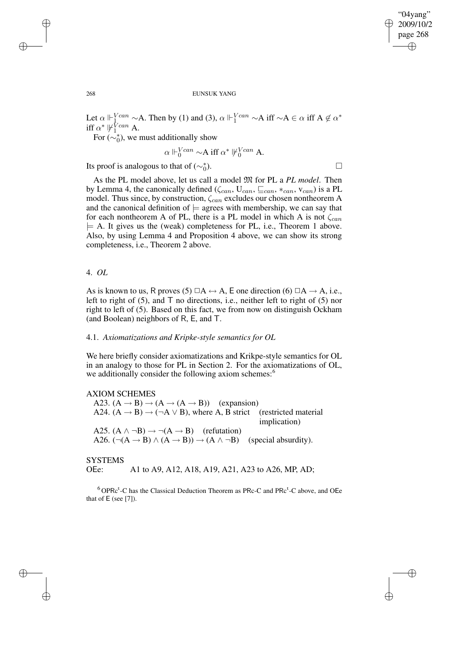#### 268 EUNSUK YANG

Let  $\alpha \Vdash^{Vcan}_{1} \sim A$ . Then by (1) and (3),  $\alpha \Vdash^{Vcan}_{1} \sim A$  iff  $\sim A \in \alpha$  iff  $A \notin \alpha^*$ iff  $\alpha^* \not\Vdash^{\text{V} can}_1$  A.

For  $(\sim_0^*$ ), we must additionally show

$$
\alpha \Vdash_0^{Vcan} \neg A \text{ iff } \alpha^* \Vdash_0^{Vcan} A.
$$
  
to that of  $(\sim_0^*).$ 

Its proof is analogous to that of ( $\sim_0^*$ 

As the PL model above, let us call a model M for PL a *PL model*. Then by Lemma 4, the canonically defined ( $\zeta_{can}$ ,  $U_{can}$ ,  $\sqsubseteq_{can}$ ,  $\ast_{can}$ ,  $v_{can}$ ) is a PL model. Thus since, by construction,  $\zeta_{can}$  excludes our chosen nontheorem A and the canonical definition of  $\models$  agrees with membership, we can say that for each nontheorem A of PL, there is a PL model in which A is not  $\zeta_{can}$  $\models$  A. It gives us the (weak) completeness for PL, i.e., Theorem 1 above. Also, by using Lemma 4 and Proposition 4 above, we can show its strong completeness, i.e., Theorem 2 above.

# 4. *OL*

As is known to us, R proves (5)  $\Box A \leftrightarrow A$ , E one direction (6)  $\Box A \rightarrow A$ , i.e., left to right of  $(5)$ , and T no directions, i.e., neither left to right of  $(5)$  nor right to left of (5). Based on this fact, we from now on distinguish Ockham (and Boolean) neighbors of R, E, and T.

# 4.1. *Axiomatizations and Kripke-style semantics for OL*

We here briefly consider axiomatizations and Krikpe-style semantics for OL in an analogy to those for PL in Section 2. For the axiomatizations of OL, we additionally consider the following axiom schemes:<sup>6</sup>

AXIOM SCHEMES A23.  $(A \rightarrow B) \rightarrow (A \rightarrow (A \rightarrow B))$  (expansion) A24.  $(A \rightarrow B) \rightarrow (\neg A \lor B)$ , where A, B strict (restricted material implication) A25.  $(A \land \neg B) \rightarrow \neg(A \rightarrow B)$  (refutation) A26.  $(\neg(A \rightarrow B) \land (A \rightarrow B)) \rightarrow (A \land \neg B)$  (special absurdity).

**SYSTEMS** OEe: A1 to A9, A12, A18, A19, A21, A23 to A26, MP, AD;

 ${}^{6}$ OPRc<sup>t</sup>-C has the Classical Deduction Theorem as PRc-C and PRc<sup>t</sup>-C above, and OEe that of E (see [7]).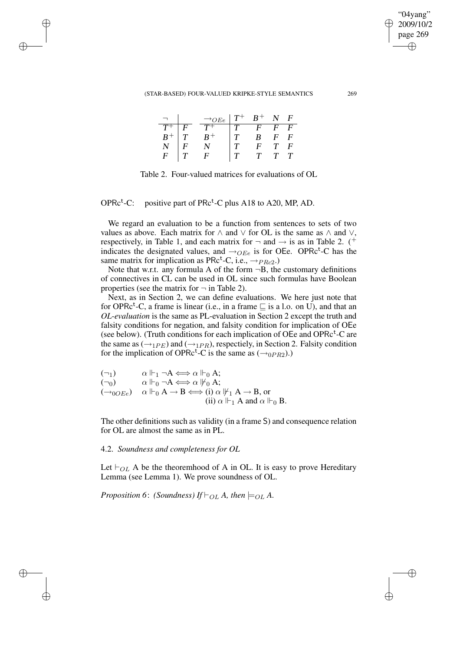#### (STAR-BASED) FOUR-VALUED KRIPKE-STYLE SEMANTICS 269

|                   | $\rightarrow_{OEe}$ | $\,T^+\,$ | $B^+$            | $\mathbf{N}$ | $\boldsymbol{F}$ |
|-------------------|---------------------|-----------|------------------|--------------|------------------|
|                   | $T^+$               |           | H.               | F.           | F                |
| $\frac{T^+}{B^+}$ | $B^+$               |           | $\boldsymbol{B}$ | F            | F                |
|                   |                     |           | E                | T            | F                |
| $\overline{E}$    | C                   |           |                  |              |                  |

Table 2. Four-valued matrices for evaluations of OL

OPRc t -C: positive part of PRc<sup>t</sup>-C plus A18 to A20, MP, AD.

We regard an evaluation to be a function from sentences to sets of two values as above. Each matrix for  $\land$  and  $\lor$  for OL is the same as  $\land$  and  $\lor$ , respectively, in Table 1, and each matrix for  $\neg$  and  $\neg$  is as in Table 2. (<sup>+</sup> indicates the designated values, and  $\rightarrow$ OEe is for OEe. OPRc<sup>t</sup>-C has the same matrix for implication as  $P Rc<sup>t</sup>$ -C, i.e.,  $\rightarrow_{PRc2}$ .)

Note that w.r.t. any formula A of the form  $\neg B$ , the customary definitions of connectives in CL can be used in OL since such formulas have Boolean properties (see the matrix for  $\neg$  in Table 2).

Next, as in Section 2, we can define evaluations. We here just note that for OPRc<sup>t</sup>-C, a frame is linear (i.e., in a frame  $\sqsubseteq$  is a l.o. on U), and that an *OL-evaluation* is the same as PL-evaluation in Section 2 except the truth and falsity conditions for negation, and falsity condition for implication of OEe (see below). (Truth conditions for each implication of OEe and OPR $c^t$ -C are the same as  $(\rightarrow_{1PE})$  and  $(\rightarrow_{1PR})$ , respectiely, in Section 2. Falsity condition for the implication of OPRc<sup>t</sup>-C is the same as  $(\rightarrow_{0PR2})$ .)

 $(\neg_1) \qquad \alpha \Vdash_1 \neg A \Longleftrightarrow \alpha \Vdash_0 A;$ ( $\neg$ <sub>0</sub>)  $\alpha \Vdash_0 \neg A \Longleftrightarrow \alpha \Vdash_0 A;$  $(\rightarrow_{0OEe})$   $\alpha \Vdash_{0} A \rightarrow B \Longleftrightarrow$  (i)  $\alpha \Vdash_{1} A \rightarrow B$ , or (ii)  $\alpha \Vdash_1 A$  and  $\alpha \Vdash_0 B$ .

The other definitions such as validity (in a frame S) and consequence relation for OL are almost the same as in PL.

4.2. *Soundness and completeness for OL*

Let  $\vdash_{OL}$  A be the theoremhood of A in OL. It is easy to prove Hereditary Lemma (see Lemma 1). We prove soundness of OL.

*Proposition* 6: *(Soundness) If*  $\vdash$ <sub>*OL</sub> A*, *then*  $\models$ *OL A*.</sub>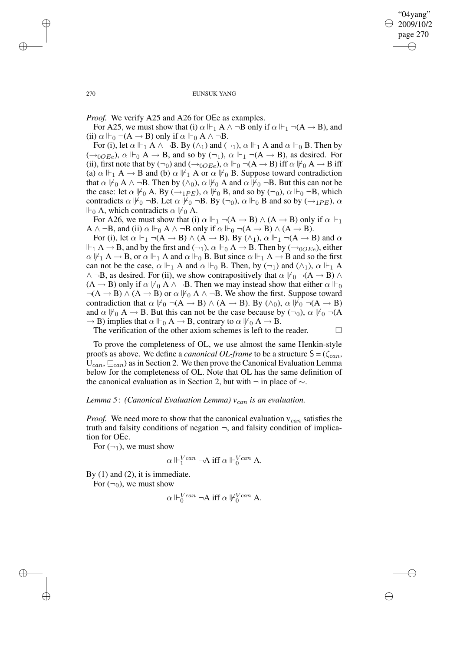*Proof.* We verify A25 and A26 for OEe as examples.

For A25, we must show that (i)  $\alpha \Vdash_1 A \wedge \neg B$  only if  $\alpha \Vdash_1 \neg (A \rightarrow B)$ , and (ii)  $\alpha \Vdash_{0} \neg (A \rightarrow B)$  only if  $\alpha \Vdash_{0} A \wedge \neg B$ .

For (i), let  $\alpha \Vdash_1 A \wedge \neg B$ . By  $(\wedge_1)$  and  $(\neg_1)$ ,  $\alpha \Vdash_1 A$  and  $\alpha \Vdash_0 B$ . Then by  $(\rightarrow_{0OEe})$ ,  $\alpha \Vdash_{0} A \rightarrow B$ , and so by  $(\neg_1)$ ,  $\alpha \Vdash_{1} \neg(A \rightarrow B)$ , as desired. For (ii), first note that by  $(\neg_0)$  and  $(\rightarrow_{0OEE})$ ,  $\alpha \Vdash_0 \neg(A \rightarrow B)$  iff  $\alpha \Vdash_0 A \rightarrow B$  iff (a)  $\alpha \Vdash_1 A \to B$  and (b)  $\alpha \Vdash_1 A$  or  $\alpha \Vdash_0 B$ . Suppose toward contradiction that  $\alpha \nvDash_0 A \land \neg B$ . Then by  $(\land_0)$ ,  $\alpha \nvDash_0 A$  and  $\alpha \nvDash_0 \neg B$ . But this can not be the case: let  $\alpha \nvDash_0 A$ . By  $(\rightarrow_{1PE})$ ,  $\alpha \nvDash_0 B$ , and so by  $(\neg_0)$ ,  $\alpha \nvDash_0 \neg B$ , which contradicts  $\alpha \nvDash_0 \neg B$ . Let  $\alpha \nvDash_0 \neg B$ . By  $(\neg_0)$ ,  $\alpha \nvDash_0 B$  and so by  $(\rightarrow_1 \neg_P E)$ ,  $\alpha$  $\Vdash_0 A$ , which contradicts  $\alpha \nvDash_0 A$ .

For A26, we must show that (i)  $\alpha \Vdash_1 \neg(A \rightarrow B) \land (A \rightarrow B)$  only if  $\alpha \Vdash_1$  $A \wedge \neg B$ , and (ii)  $\alpha \Vdash_{0} A \wedge \neg B$  only if  $\alpha \Vdash_{0} \neg (A \rightarrow B) \wedge (A \rightarrow B)$ .

For (i), let  $\alpha \Vdash_1 \neg(A \rightarrow B) \land (A \rightarrow B)$ . By  $(\land_1)$ ,  $\alpha \Vdash_1 \neg(A \rightarrow B)$  and  $\alpha$  $\Vdash_1 A \to B$ , and by the first and  $(\neg_1)$ ,  $\alpha \Vdash_0 A \to B$ . Then by  $(\to_{0OEe})$ , either  $\alpha \not\Vdash_1 A \to B$ , or  $\alpha \Vdash_1 A$  and  $\alpha \Vdash_0 B$ . But since  $\alpha \Vdash_1 A \to B$  and so the first can not be the case,  $\alpha \Vdash_1 A$  and  $\alpha \Vdash_0 B$ . Then, by  $(\neg_1)$  and  $(\wedge_1)$ ,  $\alpha \Vdash_1 A$  $\wedge \neg B$ , as desired. For (ii), we show contrapositively that  $\alpha \nvDash_{0} \neg (A \rightarrow B) \wedge \neg B$  $(A \rightarrow B)$  only if  $\alpha \nvDash_0 A \land \neg B$ . Then we may instead show that either  $\alpha \Vdash_0$  $\neg(A \rightarrow B) \land (A \rightarrow B)$  or  $\alpha \nvDash_{0} A \land \neg B$ . We show the first. Suppose toward contradiction that  $\alpha \not\Vdash_0 \neg(A \rightarrow B) \land (A \rightarrow B)$ . By  $(\land_0)$ ,  $\alpha \not\Vdash_0 \neg(A \rightarrow B)$ and  $\alpha \not\Vdash_{0} A \rightarrow B$ . But this can not be the case because by  $(\neg_0)$ ,  $\alpha \not\Vdash_{0} \neg(A)$  $\rightarrow$  B) implies that  $\alpha \Vdash_{0} A \rightarrow B$ , contrary to  $\alpha \Vdash_{0} A \rightarrow B$ .

The verification of the other axiom schemes is left to the reader.  $\Box$ 

To prove the completeness of OL, we use almost the same Henkin-style proofs as above. We define a *canonical OL-frame* to be a structure  $S = (\zeta_{can},$  $U_{can}$ ,  $\sqsubseteq_{can}$ ) as in Section 2. We then prove the Canonical Evaluation Lemma below for the completeness of OL. Note that OL has the same definition of the canonical evaluation as in Section 2, but with  $\neg$  in place of  $\sim$ .

## *Lemma* 5: *(Canonical Evaluation Lemma)*  $v_{can}$  *is an evaluation.*

*Proof.* We need more to show that the canonical evaluation  $v_{can}$  satisfies the truth and falsity conditions of negation  $\neg$ , and falsity condition of implication for OEe.

For  $(\neg_1)$ , we must show

$$
\alpha\Vdash^{Vcan}_1\neg A\ {\rm iff}\ \alpha\Vdash^{Vcan}_0 A.
$$

By  $(1)$  and  $(2)$ , it is immediate.

For  $(\neg_0)$ , we must show

$$
\alpha \Vdash_0^{Vcan} \neg A \text{ iff } \alpha \Vdash_0^{Vcan} A.
$$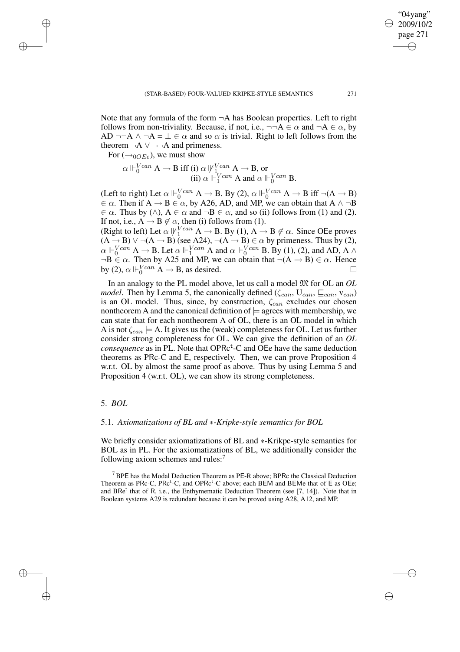Note that any formula of the form  $\neg A$  has Boolean properties. Left to right follows from non-triviality. Because, if not, i.e.,  $\neg\neg A \in \alpha$  and  $\neg A \in \alpha$ , by AD ¬¬A  $\land$  ¬A =  $\bot \in \alpha$  and so  $\alpha$  is trivial. Right to left follows from the theorem  $\neg A \lor \neg \neg A$  and primeness.

For  $(\rightarrow_{0OEe})$ , we must show

 $\alpha \Vdash_{0}^{Vcan} A \to B$  iff (i)  $\alpha \Vdash_{1}^{Vcan} A \to B$ , or (ii)  $\alpha \Vdash^{Vcan}_{1} A$  and  $\alpha \Vdash^{Vcan}_{0} B$ .

(Left to right) Let  $\alpha \Vdash_0^{Vcan} A \to B$ . By (2),  $\alpha \Vdash_0^{Vcan} A \to B$  iff  $\neg(A \to B)$  $\in \alpha$ . Then if  $A \rightarrow B \in \alpha$ , by A26, AD, and MP, we can obtain that  $A \land \neg B$  $\in \alpha$ . Thus by ( $\wedge$ ),  $A \in \alpha$  and  $\neg B \in \alpha$ , and so (ii) follows from (1) and (2). If not, i.e.,  $A \rightarrow B \notin \alpha$ , then (i) follows from (1).

(Right to left) Let  $\alpha \Vdash^{Vcan}_1 A \to B$ . By (1),  $A \to B \notin \alpha$ . Since OEe proves  $(A \rightarrow B) \lor \neg(A \rightarrow B)$  (see A24),  $\neg(A \rightarrow B) \in \alpha$  by primeness. Thus by (2),  $\alpha \Vdash_0^{Vcan} A \to B$ . Let  $\alpha \Vdash_1^{Vcan} A$  and  $\alpha \Vdash_0^{Vcan} B$ . By (1), (2), and AD, A  $\wedge$  $\neg B \in \alpha$ . Then by A25 and MP, we can obtain that  $\neg (A \rightarrow B) \in \alpha$ . Hence by (2),  $\alpha \Vdash_{0}^{Vcan} A \to B$ , as desired.

In an analogy to the PL model above, let us call a model M for OL an *OL model*. Then by Lemma 5, the canonically defined ( $\zeta_{can}$ ,  $U_{can}$ ,  $\sqsubseteq_{can}$ ,  $v_{can}$ ) is an OL model. Thus, since, by construction,  $\zeta_{can}$  excludes our chosen nontheorem A and the canonical definition of  $\models$  agrees with membership, we can state that for each nontheorem A of OL, there is an OL model in which A is not  $\zeta_{can} \models A$ . It gives us the (weak) completeness for OL. Let us further consider strong completeness for OL. We can give the definition of an *OL*  $consequence$  as in PL. Note that OPR $c^t$ -C and OEe have the same deduction theorems as PRc-C and E, respectively. Then, we can prove Proposition 4 w.r.t. OL by almost the same proof as above. Thus by using Lemma 5 and Proposition 4 (w.r.t. OL), we can show its strong completeness.

# 5. *BOL*

# 5.1. *Axiomatizations of BL and* ∗*-Kripke-style semantics for BOL*

We briefly consider axiomatizations of BL and ∗-Krikpe-style semantics for BOL as in PL. For the axiomatizations of BL, we additionally consider the following axiom schemes and rules:<sup>7</sup>

<sup>7</sup> BPE has the Modal Deduction Theorem as PE-R above; BPRc the Classical Deduction Theorem as PRc-C, PRc<sup>t</sup>-C, and OPRc<sup>t</sup>-C above; each BEM and BEMe that of E as OEe; and BRe<sup>t</sup> that of R, i.e., the Enthymematic Deduction Theorem (see [7, 14]). Note that in Boolean systems A29 is redundant because it can be proved using A28, A12, and MP.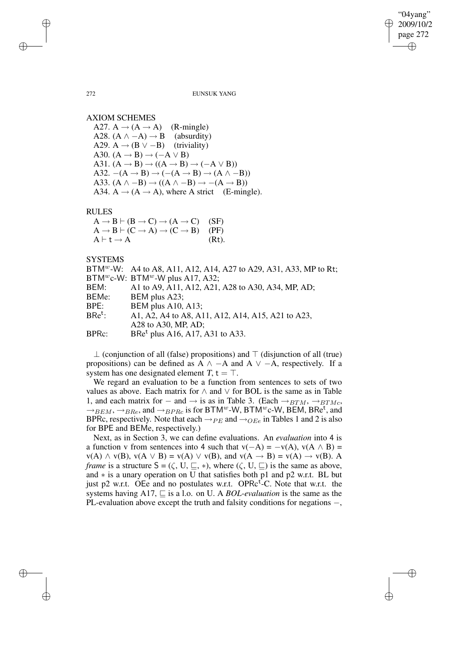272 EUNSUK YANG

AXIOM SCHEMES

A27.  $A \rightarrow (A \rightarrow A)$  (R-mingle) A28.  $(A \land -A) \rightarrow B$  (absurdity) A29. A  $\rightarrow$  (B  $\vee$  –B) (triviality) A30.  $(A \rightarrow B) \rightarrow (-A \vee B)$ A31.  $(A \rightarrow B) \rightarrow ((A \rightarrow B) \rightarrow (-A \vee B))$ A32.  $-(A \rightarrow B) \rightarrow (-(A \rightarrow B) \rightarrow (A \land -B))$ A33.  $(A \land -B) \rightarrow ((A \land -B) \rightarrow -(A \rightarrow B))$ A34. A  $\rightarrow$  (A  $\rightarrow$  A), where A strict (E-mingle).

RULES

 $A \rightarrow B \vdash (B \rightarrow C) \rightarrow (A \rightarrow C)$  (SF)  $A \rightarrow B \vdash (C \rightarrow A) \rightarrow (C \rightarrow B)$  (PF)  $A \vdash t \rightarrow A$  (Rt).

**SYSTEMS** 

BTM<sup>w</sup>-W: A4 to A8, A11, A12, A14, A27 to A29, A31, A33, MP to Rt; BTM<sup>w</sup>c-W: BTM<sup>w</sup>-W plus A17, A32; BEM: A1 to A9, A11, A12, A21, A28 to A30, A34, MP, AD; BEMe: BEM plus A23; BPE: BEM plus A10, A13; BRe t : A1, A2, A4 to A8, A11, A12, A14, A15, A21 to A23, A28 to A30, MP, AD; BPRc:  $B$ Re<sup>t</sup> plus A16, A17, A31 to A33.

 $\perp$  (conjunction of all (false) propositions) and  $\perp$  (disjunction of all (true) propositions) can be defined as A  $\land$  −A and A  $\lor$  −A, respectively. If a system has one designated element  $T$ ,  $t = \top$ .

We regard an evaluation to be a function from sentences to sets of two values as above. Each matrix for  $\land$  and  $\lor$  for BOL is the same as in Table 1, and each matrix for  $-$  and  $\rightarrow$  is as in Table 3. (Each  $\rightarrow$   $_{BTM}$ ,  $\rightarrow$   $_{BTMc}$ ,  $\rightarrow$  BEM,  $\rightarrow$  BRe, and  $\rightarrow$  BPRc is for BTM<sup>w</sup>-W, BTM<sup>w</sup>c-W, BEM, BRe<sup>t</sup>, and BPRc, respectively. Note that each  $\rightarrow_{PE}$  and  $\rightarrow_{OEe}$  in Tables 1 and 2 is also for BPE and BEMe, respectively.)

Next, as in Section 3, we can define evaluations. An *evaluation* into 4 is a function v from sentences into 4 such that  $v(-A) = -v(A)$ ,  $v(A \wedge B) =$  $v(A) \wedge v(B)$ ,  $v(A \vee B) = v(A) \vee v(B)$ , and  $v(A \rightarrow B) = v(A) \rightarrow v(B)$ . A *frame* is a structure  $S = (\zeta, U, \subseteq, *)$ , where  $(\zeta, U, \subseteq)$  is the same as above, and ∗ is a unary operation on U that satisfies both p1 and p2 w.r.t. BL but just p2 w.r.t. OEe and no postulates w.r.t. OPR $c^t$ -C. Note that w.r.t. the systems having A17,  $\sqsubseteq$  is a l.o. on U. A *BOL-evaluation* is the same as the PL-evaluation above except the truth and falsity conditions for negations –,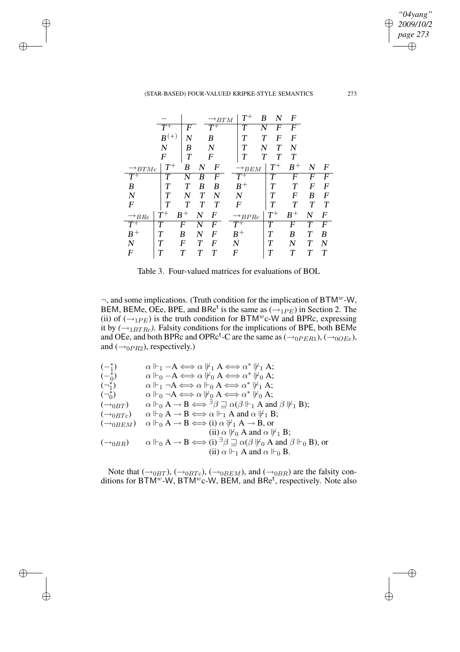(STAR-BASED) FOUR-VALUED KRIPKE-STYLE SEMANTICS 273

|                              |                |       |   | $^\star B T M$   |   | $\scriptstyle T^+$ | B | N                  | $\boldsymbol{F}$ |             |   |
|------------------------------|----------------|-------|---|------------------|---|--------------------|---|--------------------|------------------|-------------|---|
|                              | $T^+$          | F     |   | $T^+$            |   | T                  |   | F                  | F                |             |   |
|                              | $B^{(+)}$      | N     |   | B                |   | T                  | Т | F                  | F                |             |   |
|                              | $\overline{N}$ | В     |   | N                |   | T                  |   | T                  | N                |             |   |
|                              | F              | T     |   | F                |   | Т                  | T | Т                  | T                |             |   |
| $\rightarrow$ BTMc           | $T^+$          | B     | N | F                |   | $\rightarrow$ BEM  |   | $\scriptstyle T^+$ | $B^+$            | N           | F |
|                              | T              |       | B | F                |   | $T^{\mp}$          |   | T                  | F                | F           | F |
| B                            | Т              | Т     | B | B                |   | $B^+$              |   | Т                  | Т                | F           | F |
| $\boldsymbol{N}$             | T              | N     | T | N                |   | $\boldsymbol{N}$   |   | T                  | F                | B           | F |
| $\boldsymbol{F}$             | T              | T     | T | Т                |   | F                  |   | T                  | T                | Т           | Т |
| $\rightarrow$ <sub>BRe</sub> | $\, T^+$       | $B^+$ | N | F                |   | $\rightarrow BPRc$ |   | $\scriptstyle T^+$ | $B^+$            | N           | F |
| $\overline{T^+}$             | T              | F     |   | F                |   | $T^{\mp}$          |   | $\bm{\tau}$        | F                |             | F |
| $B^+$                        |                | B     | N | $\boldsymbol{F}$ |   | $B^+$              |   | Т                  | B                | $\bm{\tau}$ | B |
| N                            | т              | F     | т | F                | N |                    |   | $\bm{\tau}$        | N                | Т           | N |
| F                            |                |       | Т |                  | F |                    |   | T                  |                  |             | Т |

Table 3. Four-valued matrices for evaluations of BOL

 $\neg$ , and some implications. (Truth condition for the implication of BTM<sup>w</sup>-W, BEM, BEMe, OEe, BPE, and BRe<sup>t</sup> is the same as  $\left(\rightarrow_{1PE}\right)$  in Section 2. The (ii) of  $(\rightarrow_{1PE})$  is the truth condition for BTM<sup>w</sup>c-W and BPRc, expressing it by  $(\rightarrow_{1BTRc})$ . Falsity conditions for the implications of BPE, both BEMe and OEe, and both BPRc and OPRc<sup>t</sup>-C are the same as ( $\rightarrow_{0PER1}$ ), ( $\rightarrow_{0OEe}$ ), and  $(\rightarrow_{0PR2})$ , respectively.)

$$
(\begin{matrix} -\frac{*}{1} & \alpha \Vdash_1 - A \Longleftrightarrow \alpha \Vdash_1 A \Longleftrightarrow \alpha^* \Vdash_1 A; \\ (\frac{-\frac{*}{0}}{0} & \alpha \Vdash_0 - A \Longleftrightarrow \alpha \Vdash_0 A \Longleftrightarrow \alpha^* \Vdash_0 A; \\ \alpha \Vdash_1 \neg A \Longleftrightarrow \alpha \Vdash_0 A \Longleftrightarrow \alpha^* \Vdash_1 A; \\ (\neg_{0}^{*}) & \alpha \Vdash_0 \neg A \Longleftrightarrow \alpha \Vdash_0 A \Longleftrightarrow \alpha^* \Vdash_0 A; \\ (\neg_{0}BT) & \alpha \Vdash_0 A \rightarrow B \Longleftrightarrow \exists \beta \sqsupseteq \alpha(\beta \Vdash_1 A \text{ and } \beta \Vdash_1 B); \\ (\neg_{0}BTc) & \alpha \Vdash_0 A \rightarrow B \Longleftrightarrow \alpha \Vdash_1 A \text{ and } \alpha \Vdash_1 B; \\ (\neg_{0}BEM) & \alpha \Vdash_0 A \rightarrow B \Longleftrightarrow (i) \alpha \Vdash_1 A \rightarrow B, \text{ or } \\ (ii) \alpha \Vdash_0 A \text{ and } \alpha \Vdash_1 B; \\ (\neg_{0}BR) & \alpha \Vdash_0 A \rightarrow B \Longleftrightarrow (i) \exists \beta \sqsupseteq \alpha(\beta \Vdash_0 A \text{ and } \beta \Vdash_0 B), \text{ or } \\ (ii) \alpha \Vdash_1 A \text{ and } \alpha \Vdash_0 B.
$$

Note that ( $\rightarrow_{0BT}$ ), ( $\rightarrow_{0BTc}$ ), ( $\rightarrow_{0BEM}$ ), and ( $\rightarrow_{0BR}$ ) are the falsity conditions for  $BTM^w-W$ ,  $BTM^wc-W$ ,  $BEM$ , and  $BRe<sup>t</sup>$ , respectively. Note also

Æ

*"04yang" 2009/10/2 page 273*

⊕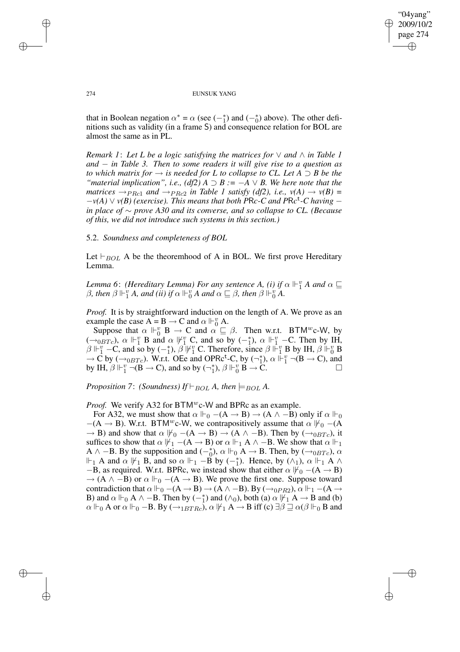that in Boolean negation  $\alpha^* = \alpha$  (see  $(-_1^*)$  and  $(-_0^*)$  above). The other definitions such as validity (in a frame S) and consequence relation for BOL are almost the same as in PL.

*Remark* 1: Let L be a logic satisfying the matrices for  $\vee$  and  $\wedge$  *in Table 1 and* − *in Table 3. Then to some readers it will give rise to a question as to which matrix for*  $\rightarrow$  *is needed for L to collapse to CL. Let*  $A \supset B$  *be the "material implication", i.e.,*  $(df2)$  *A*  $\supset B$  *:* =  $-A \vee B$ *. We here note that the matrices*  $\rightarrow$   $PRc1}$  *and*  $\rightarrow$   $PRc2}$  *in Table 1 satisfy* (*df2*), *i.e.*,  $v(A) \rightarrow v(B)$  =  $-v(A) \vee v(B)$  (exercise). This means that both PRc-C and PRc<sup>t</sup>-C having – *in place of* ∼ *prove A30 and its converse, and so collapse to CL. (Because of this, we did not introduce such systems in this section.)*

## 5.2. *Soundness and completeness of BOL*

Let  $\vdash_{BOL}$  A be the theoremhood of A in BOL. We first prove Hereditary Lemma.

*Lemma* 6: *(Hereditary Lemma)* For any sentence *A, (i)* if  $\alpha \Vdash^v_1 A$  and  $\alpha \sqsubseteq$  $\beta$ , *then*  $\beta \Vdash^v_1 A$ , *and (ii) if*  $\alpha \Vdash^v_0 A$  *and*  $\alpha \sqsubseteq \beta$ , *then*  $\beta \Vdash^v_0 A$ .

*Proof.* It is by straightforward induction on the length of A. We prove as an example the case  $A = B \rightarrow C$  and  $\alpha \Vdash_0^v A$ .

Suppose that  $\alpha \Vdash_{0}^{v} \mathbf{B} \to \mathbf{C}$  and  $\alpha \subseteq \beta$ . Then w.r.t. BTM<sup>w</sup>c-W, by  $(\rightarrow_{0} \text{B}T_c)$ ,  $\alpha \Vdash_{1}^{\text{p}} \text{B}$  and  $\alpha \Vdash_{1}^{\text{v}} \text{C}$ , and so by  $(-_1^*)$ ,  $\alpha \Vdash_{1}^{\text{v}} \text{-C}$ . Then by IH,  $\beta \Vdash^v_1$  – C, and so by  $(-_1^*)$ ,  $\beta \Vdash^v_1$  C. Therefore, since  $\beta \Vdash^v_1 B$  by IH,  $\beta \Vdash^v_0 B$  $\rightarrow$  C by ( $\rightarrow$ <sub>0BTc</sub>). W.r.t. OEe and OPRc<sup>t</sup>-C, by ( $\rightarrow$ <sup>1</sup><sub>1</sub>  $\sharp$ ),  $\alpha \Vdash^v_1 \neg(B \rightarrow C)$ , and by IH,  $\beta \Vdash^v_1 \neg(B \rightarrow C)$ , and so by  $(\neg^*_1)$  $_1^*$ ),  $\beta \Vdash^v_0 \mathbf{B} \to \mathbf{C}$ .

*Proposition* 7: *(Soundness) If*  $\vdash_{BOL}$  *A, then*  $\models_{BOL}$  *A.* 

*Proof.* We verify A32 for BTM<sup>*w*</sup>c-W and BPRc as an example.

For A32, we must show that  $\alpha \Vdash_{0} -(A \rightarrow B) \rightarrow (A \land -B)$  only if  $\alpha \Vdash_{0}$  $-(A \rightarrow B)$ . W.r.t. BTM<sup>*w*</sup>c-W, we contrapositively assume that  $\alpha \nvDash_{0} -(A \rightarrow B)$ .  $\rightarrow$  B) and show that  $\alpha \nvDash_{0} -(A \rightarrow B) \rightarrow (A \land -B)$ . Then by  $(\rightarrow_{0} B T_{c})$ , it suffices to show that  $\alpha \not\Vdash_1 -(A \rightarrow B)$  or  $\alpha \Vdash_1 A \wedge -B$ . We show that  $\alpha \Vdash_1$ A  $\land$  –B. By the supposition and  $\left(-\stackrel{*}{0}\right)$ ,  $\alpha \Vdash_0 A \rightarrow B$ . Then, by  $\left(\rightarrow_{0}^{0}B_{TC}\right)$ ,  $\alpha$  $\Vdash_1 A$  and  $\alpha \not\Vdash_1 B$ , and so  $\alpha \Vdash_1 -B$  by  $(-_1^*)$ . Hence, by  $(\wedge_1)$ ,  $\alpha \Vdash_1 A \wedge$  $-B$ , as required. W.r.t. BPRc, we instead show that either  $\alpha \nvDash_0 -(A \rightarrow B)$  $\rightarrow$  (A  $\land$  -B) or  $\alpha \Vdash_{0}$  –(A  $\rightarrow$  B). We prove the first one. Suppose toward contradiction that  $\alpha \Vdash_{0} -(A \rightarrow B) \rightarrow (A \land -B)$ . By  $(\rightarrow_{0PR2})$ ,  $\alpha \Vdash_{1} -(A \rightarrow$ B) and  $\alpha \Vdash_0 A \wedge -B$ . Then by  $\left(-\frac{4}{1}\right)$  and  $\left(\wedge_0\right)$ , both (a)  $\alpha \Vdash'_1 A \rightarrow B$  and (b)  $\alpha \Vdash_0 A$  or  $\alpha \Vdash_0 -B$ . By  $(\rightarrow_{1BTRe})$ ,  $\alpha \Vdash_1 A \rightarrow B$  iff  $(c) \exists \beta \sqsupseteq \alpha(\beta \Vdash_0 B$  and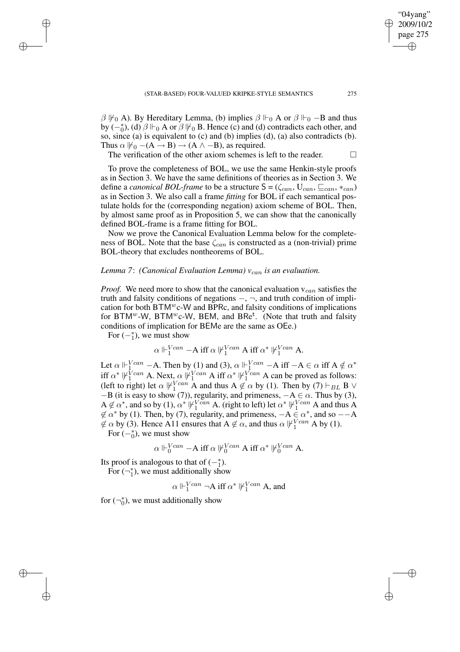$\beta \nvDash_0 A$ ). By Hereditary Lemma, (b) implies  $\beta \Vdash_0 A$  or  $\beta \Vdash_0 -B$  and thus by  $\left(-\stackrel{*}{0}\right)$ , (d)  $\beta \Vdash_0 A$  or  $\beta \Vdash_0 B$ . Hence (c) and (d) contradicts each other, and so, since (a) is equivalent to (c) and (b) implies (d), (a) also contradicts (b). Thus  $\alpha \not\Vdash_0 -(A \rightarrow B) \rightarrow (A \land -B)$ , as required.

The verification of the other axiom schemes is left to the reader.  $\Box$ 

To prove the completeness of BOL, we use the same Henkin-style proofs as in Section 3. We have the same definitions of theories as in Section 3. We define a *canonical BOL-frame* to be a structure  $S = (\zeta_{can}, U_{can}, \sqsubseteq_{can}, *_{can})$ as in Section 3. We also call a frame *fitting* for BOL if each semantical postulate holds for the (corresponding negation) axiom scheme of BOL. Then, by almost same proof as in Proposition 5, we can show that the canonically defined BOL-frame is a frame fitting for BOL.

Now we prove the Canonical Evaluation Lemma below for the completeness of BOL. Note that the base  $\zeta_{can}$  is constructed as a (non-trivial) prime BOL-theory that excludes nontheorems of BOL.

## *Lemma 7*: *(Canonical Evaluation Lemma) v*can *is an evaluation.*

*Proof.* We need more to show that the canonical evaluation  $v_{can}$  satisfies the truth and falsity conditions of negations  $-, \neg$ , and truth condition of implication for both BTMwc-W and BPRc, and falsity conditions of implications for BTM<sup>w</sup>-W, BTM<sup>w</sup>c-W, BEM, and BRe<sup>t</sup>. (Note that truth and falsity conditions of implication for BEMe are the same as OEe.)

For  $(-_1^*)$ , we must show

$$
\alpha\Vdash^{Vcan}_1 -{\mathbf A} \text{ iff } \alpha \not\Vdash^{Vcan}_1 {\mathbf A} \text{ iff } \alpha^* \not\Vdash^{Vcan}_1 {\mathbf A}.
$$

Let  $\alpha \Vdash^{Vcan}_{1}$  – A. Then by (1) and (3),  $\alpha \Vdash^{Vcan}_{1}$  – A iff  $-A \in \alpha$  iff  $A \notin \alpha^*$ iff  $\alpha^* \not\Vdash^{Vcan}_{1}$  A. Next,  $\alpha \not\Vdash^{Vcan}_{1}$  A iff  $\alpha^* \not\Vdash^{Vcan}_{1}$  A can be proved as follows: (left to right) let  $\alpha \not\Vdash^{Vcan}_{1} A$  and thus  $A \not\in \alpha$  by (1). Then by (7)  $\vdash_{BL} B \lor$  $-B$  (it is easy to show (7)), regularity, and primeness,  $-A \in \alpha$ . Thus by (3),  $A \notin \alpha^*$ , and so by (1),  $\alpha^* \Vdash_1^{Vcan} A$ . (right to left) let  $\alpha^* \Vdash_1^{Vcan} A$  and thus A  $\notin \alpha^*$  by (1). Then, by (7), regularity, and primeness,  $-A \in \alpha^*$ , and so  $-A$  $\notin \alpha$  by (3). Hence A11 ensures that  $A \notin \alpha$ , and thus  $\alpha \not\Vdash^{Vcan}_1 A$  by (1).

For  $\left(-_0^*\right)$ , we must show

$$
\alpha\Vdash^{Vcan}_0 -{\mathbf A} \text{ iff } \alpha \not\Vdash^{Vcan}_0 {\mathbf A} \text{ iff } \alpha^* \not\Vdash^{Vcan}_0 {\mathbf A}.
$$

Its proof is analogous to that of  $(-_1^*)$ . For  $(\neg_1^*$  $_1^*$ ), we must additionally show

$$
\alpha \Vdash_1^{Vcan} \neg A \text{ iff } \alpha^* \Vdash_1^{Vcan} A
$$
, and

for  $(\neg_0^*$  $_{0}^{*}$ ), we must additionally show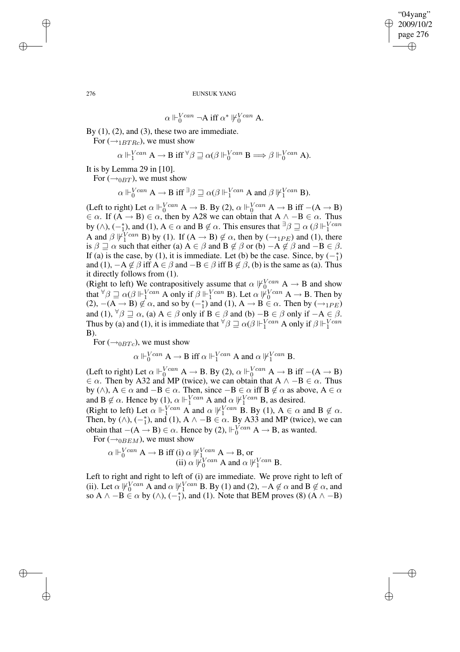$$
\alpha\Vdash^{Vcan}_0\neg A\ {\rm iff}\ \alpha^*\not\Vdash^{Vcan}_0 A.
$$

By  $(1)$ ,  $(2)$ , and  $(3)$ , these two are immediate.

For  $(\rightarrow_{1BTRc})$ , we must show

$$
\alpha \Vdash_1^{Vcan} A \to B \text{ iff } ^\forall \beta \sqsupseteq \alpha(\beta \Vdash_0^{Vcan} B \Longrightarrow \beta \Vdash_0^{Vcan} A).
$$

It is by Lemma 29 in [10].

For  $(\rightarrow_{0BT})$ , we must show

 $\alpha \Vdash_{0}^{Vcan} A \to B$  iff  ${}^{\exists}\beta \sqsupseteq \alpha(\beta \Vdash_{1}^{Vcan} A$  and  $\beta \Vdash_{1}^{Vcan} B$ ).

(Left to right) Let  $\alpha \Vdash_{0}^{Vcan} A \to B$ . By (2),  $\alpha \Vdash_{0}^{Vcan} A \to B$  iff  $-(A \to B)$  $\in \alpha$ . If  $(A \rightarrow B) \in \alpha$ , then by A28 we can obtain that  $A \land -B \in \alpha$ . Thus by ( $\wedge$ ),  $\left(-\frac{*}{1}\right)$ , and (1),  $A \in \alpha$  and  $B \notin \alpha$ . This ensures that  $\exists \beta \sqsupseteq \alpha$  ( $\beta \Vdash^{Vcan}_1$ A and  $\beta \psi_1^{\text{V} can}$  B) by (1). If  $(A \rightarrow B) \notin \alpha$ , then by  $(\rightarrow_{1PE})$  and (1), there is  $\beta \sqsupseteq \alpha$  such that either (a)  $A \in \beta$  and  $B \notin \beta$  or (b)  $-A \notin \beta$  and  $-B \in \beta$ . If (a) is the case, by (1), it is immediate. Let (b) be the case. Since, by  $(-_1^*)$ and (1),  $-A \notin \beta$  iff  $A \in \beta$  and  $-B \in \beta$  iff  $B \notin \beta$ , (b) is the same as (a). Thus it directly follows from (1).

(Right to left) We contrapositively assume that  $\alpha \not\Vdash_{0}^{Vcan} A \rightarrow B$  and show that  $\forall \beta \sqsupseteq \alpha(\beta \Vdash_1^{Vcan} A$  only if  $\beta \Vdash_1^{Vcan} B$ ). Let  $\alpha \Vdash_0^{Vcan} A \to B$ . Then by (2),  $-(A \rightarrow B) \notin \alpha$ , and so by  $\left(-\frac{a}{1}\right)$  and (1),  $A \rightarrow B \in \alpha$ . Then by  $\left(\rightarrow_{1PE}\right)$ and (1),  $\forall \beta \sqsupseteq \alpha$ , (a)  $A \in \beta$  only if  $B \in \beta$  and (b)  $-B \in \beta$  only if  $-A \in \beta$ . Thus by (a) and (1), it is immediate that  $\forall \beta \sqsupseteq \alpha(\beta \Vdash_1^{Vcan} A$  only if  $\beta \Vdash_1^{Vcan}$ B).

For  $(\rightarrow_{0BTC})$ , we must show

 $\alpha \Vdash_{0}^{Vcan} A \to B$  iff  $\alpha \Vdash_{1}^{Vcan} A$  and  $\alpha \Vdash_{1}^{Vcan} B$ .

(Left to right) Let  $\alpha \Vdash_{0}^{Vcan} A \to B$ . By (2),  $\alpha \Vdash_{0}^{Vcan} A \to B$  iff  $-(A \to B)$  $\in \alpha$ . Then by A32 and MP (twice), we can obtain that A  $\wedge -B \in \alpha$ . Thus by ( $\land$ ),  $A \in \alpha$  and  $-B \in \alpha$ . Then, since  $-B \in \alpha$  iff  $B \notin \alpha$  as above,  $A \in \alpha$ and  $B \notin \alpha$ . Hence by (1),  $\alpha \Vdash^{Vcan}_{1} A$  and  $\alpha \Vdash^{Vcan}_{1} B$ , as desired.

(Right to left) Let  $\alpha \Vdash^{Vcan}_{1} A$  and  $\alpha \Vdash^{Vcan}_{1} B$ . By (1),  $A \in \alpha$  and  $B \notin \alpha$ . Then, by ( $\wedge$ ),  $\left(-\frac{*}{1}\right)$ , and (1), A  $\wedge$  -B  $\in \alpha$ . By A33 and MP (twice), we can obtain that  $-(A \rightarrow B) \in \alpha$ . Hence by (2),  $\Vdash_0^{Vcan} A \rightarrow B$ , as wanted.

For  $(\rightarrow_{0BEM})$ , we must show

$$
\alpha \Vdash_{0}^{Vcan} A \to B \text{ iff (i) } \alpha \Vdash_{1}^{Vcan} A \to B, \text{ or}
$$
  
(ii) 
$$
\alpha \Vdash_{0}^{Vcan} A \text{ and } \alpha \Vdash_{1}^{Vcan} B.
$$

Left to right and right to left of (i) are immediate. We prove right to left of (ii). Let  $\alpha \Vdash^{Vcan}_{0} A$  and  $\alpha \Vdash^{Vcan}_{1} B$ . By (1) and (2),  $-A \notin \alpha$  and  $B \notin \alpha$ , and so A  $\land$  -B  $\in \alpha$  by ( $\land$ ), (-<sup>\*</sup><sub>1</sub>), and (1). Note that BEM proves (8) (A  $\land$  -B)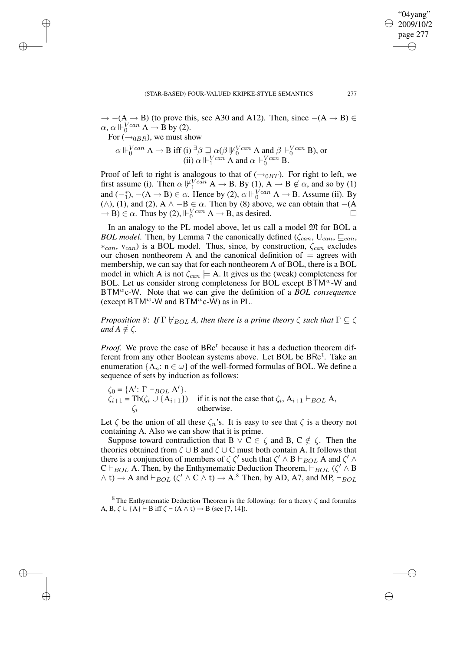$\rightarrow$  −(A → B) (to prove this, see A30 and A12). Then, since −(A → B) ∈  $\alpha$ ,  $\alpha \Vdash_{0}^{Vcan} A \rightarrow \mathring{B}$  by (2).

For  $(\rightarrow_{0BR})$ , we must show

$$
\alpha \Vdash_{0}^{Vcan} A \to B \text{ iff (i) } \exists \beta \sqsupseteq \alpha(\beta) \Vdash_{0}^{Vcan} A \text{ and } \beta \Vdash_{0}^{Vcan} B \text{), or}
$$
  
(ii) 
$$
\alpha \Vdash_{1}^{Vcan} A \text{ and } \alpha \Vdash_{0}^{Vcan} B.
$$

Proof of left to right is analogous to that of  $(\rightarrow_{0BT})$ . For right to left, we first assume (i). Then  $\alpha \Vdash^{Vcan}_{1} A \rightarrow B$ . By (1),  $A \rightarrow B \notin \alpha$ , and so by (1) and  $(-_1^*)$ ,  $-(A \rightarrow B) \in \alpha$ . Hence by (2),  $\alpha \Vdash_{0}^{Vcan} A \rightarrow B$ . Assume (ii). By ( $\wedge$ ), (1), and (2), A  $\wedge$  −B  $\in \alpha$ . Then by (8) above, we can obtain that −(A  $\rightarrow$  B)  $\in \alpha$ . Thus by (2),  $\Vdash_0^{Vcan} A \rightarrow B$ , as desired.

In an analogy to the PL model above, let us call a model  $\mathfrak{M}$  for BOL a *BOL model*. Then, by Lemma 7 the canonically defined ( $\zeta_{can}$ ,  $U_{can}$ ,  $\sqsubseteq_{can}$ ,  $*_{can}$ ,  $v_{can}$ ) is a BOL model. Thus, since, by construction,  $\zeta_{can}$  excludes our chosen nontheorem A and the canonical definition of  $\models$  agrees with membership, we can say that for each nontheorem A of BOL, there is a BOL model in which A is not  $\zeta_{can} \models A$ . It gives us the (weak) completeness for BOL. Let us consider strong completeness for BOL except  $B\overline{T}M^w-W$  and BTMwc-W. Note that we can give the definition of a *BOL consequence* (except BTM<sup>*w*</sup>-W and BTM<sup>*w*</sup>c-W) as in PL.

*Proposition* 8: *If*  $\Gamma \not\vdash_{BOL} A$ , *then there is a prime theory*  $\zeta$  *such that*  $\Gamma \subseteq \zeta$ *and*  $A \notin \zeta$ *.* 

Proof. We prove the case of BRe<sup>t</sup> because it has a deduction theorem different from any other Boolean systems above. Let BOL be BRe<sup>t</sup>. Take an enumeration  $\{A_n: n \in \omega\}$  of the well-formed formulas of BOL. We define a sequence of sets by induction as follows:

$$
\zeta_0 = \{A' : \Gamma \vdash_{BOL} A'\}.
$$
  
\n
$$
\zeta_{i+1} = \text{Th}(\zeta_i \cup \{A_{i+1}\})
$$
 if it is not the case that  $\zeta_i$ ,  $A_{i+1} \vdash_{BOL} A$ ,  
\n $\zeta_i$  otherwise.

Let  $\zeta$  be the union of all these  $\zeta_n$ 's. It is easy to see that  $\zeta$  is a theory not containing A. Also we can show that it is prime.

Suppose toward contradiction that B  $\vee$  C  $\in \zeta$  and B, C  $\notin \zeta$ . Then the theories obtained from  $\zeta \cup B$  and  $\zeta \cup C$  must both contain A. It follows that there is a conjunction of members of  $\zeta \zeta'$  such that  $\zeta' \wedge B \vdash_{BOL} A$  and  $\zeta' \wedge A$  $C \vdash_{BOL} A$ . Then, by the Enthymematic Deduction Theorem,  $\vdash_{BOL} (\zeta' \wedge B)$  $\wedge$  t)  $\rightarrow$  A and  $\vdash_{BOL} (\zeta' \wedge C \wedge t) \rightarrow A$ .<sup>8</sup> Then, by AD, A7, and MP,  $\vdash_{BOL}$ 

<sup>8</sup> The Enthymematic Deduction Theorem is the following: for a theory  $\zeta$  and formulas A, B,  $\zeta \cup \{A\} \vdash B$  iff  $\zeta \vdash (A \land t) \rightarrow B$  (see [7, 14]).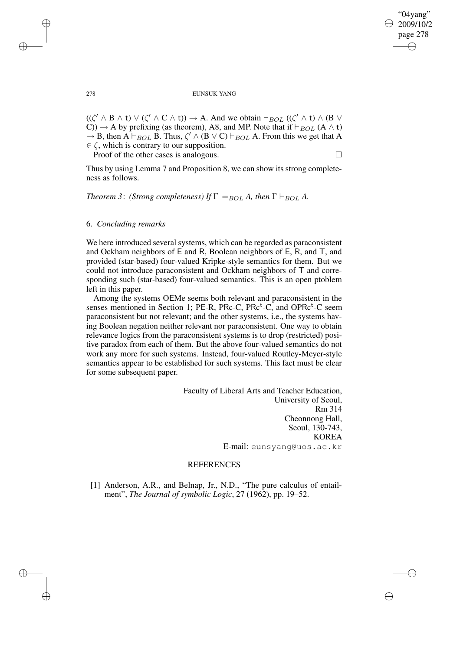$((\zeta' \land B \land t) \lor (\zeta' \land C \land t)) \rightarrow A$ . And we obtain  $\vdash_{BOL} ((\zeta' \land t) \land (B \lor t))$ C))  $\rightarrow$  A by prefixing (as theorem), A8, and MP. Note that if  $\vdash_{BOL}$  (A  $\land$  t)  $\rightarrow$  B, then A  $\vdash_{BOL}$  B. Thus,  $\zeta' \wedge (B \vee C) \vdash_{BOL}$  A. From this we get that A  $\in \zeta$ , which is contrary to our supposition.

Proof of the other cases is analogous.

Thus by using Lemma 7 and Proposition 8, we can show its strong completeness as follows.

*Theorem* 3: *(Strong completeness) If*  $\Gamma \models_{BOL} A$ *, then*  $\Gamma \models_{BOL} A$ *.* 

# 6. *Concluding remarks*

We here introduced several systems, which can be regarded as paraconsistent and Ockham neighbors of E and R, Boolean neighbors of E, R, and T, and provided (star-based) four-valued Kripke-style semantics for them. But we could not introduce paraconsistent and Ockham neighbors of T and corresponding such (star-based) four-valued semantics. This is an open ptoblem left in this paper.

Among the systems OEMe seems both relevant and paraconsistent in the senses mentioned in Section 1; PE-R, PRc-C, PRc<sup>t</sup>-C, and OPRc<sup>t</sup>-C seem paraconsistent but not relevant; and the other systems, i.e., the systems having Boolean negation neither relevant nor paraconsistent. One way to obtain relevance logics from the paraconsistent systems is to drop (restricted) positive paradox from each of them. But the above four-valued semantics do not work any more for such systems. Instead, four-valued Routley-Meyer-style semantics appear to be established for such systems. This fact must be clear for some subsequent paper.

> Faculty of Liberal Arts and Teacher Education, University of Seoul, Rm 314 Cheonnong Hall, Seoul, 130-743, KOREA E-mail: eunsyang@uos.ac.kr

# REFERENCES

[1] Anderson, A.R., and Belnap, Jr., N.D., "The pure calculus of entailment", *The Journal of symbolic Logic*, 27 (1962), pp. 19–52.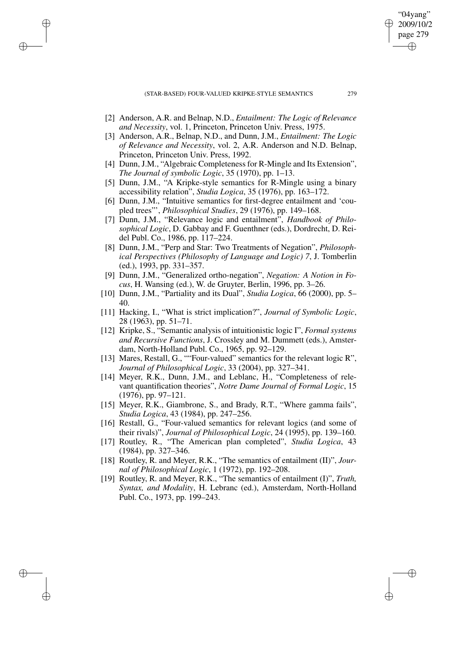- [2] Anderson, A.R. and Belnap, N.D., *Entailment: The Logic of Relevance and Necessity*, vol. 1, Princeton, Princeton Univ. Press, 1975.
- [3] Anderson, A.R., Belnap, N.D., and Dunn, J.M., *Entailment: The Logic of Relevance and Necessity*, vol. 2, A.R. Anderson and N.D. Belnap, Princeton, Princeton Univ. Press, 1992.
- [4] Dunn, J.M., "Algebraic Completeness for R-Mingle and Its Extension", *The Journal of symbolic Logic*, 35 (1970), pp. 1–13.
- [5] Dunn, J.M., "A Kripke-style semantics for R-Mingle using a binary accessibility relation", *Studia Logica*, 35 (1976), pp. 163–172.
- [6] Dunn, J.M., "Intuitive semantics for first-degree entailment and 'coupled trees"', *Philosophical Studies*, 29 (1976), pp. 149–168.
- [7] Dunn, J.M., "Relevance logic and entailment", *Handbook of Philosophical Logic*, D. Gabbay and F. Guenthner (eds.), Dordrecht, D. Reidel Publ. Co., 1986, pp. 117–224.
- [8] Dunn, J.M., "Perp and Star: Two Treatments of Negation", *Philosophical Perspectives (Philosophy of Language and Logic) 7*, J. Tomberlin (ed.), 1993, pp. 331–357.
- [9] Dunn, J.M., "Generalized ortho-negation", *Negation: A Notion in Focus*, H. Wansing (ed.), W. de Gruyter, Berlin, 1996, pp. 3–26.
- [10] Dunn, J.M., "Partiality and its Dual", *Studia Logica*, 66 (2000), pp. 5– 40.
- [11] Hacking, I., "What is strict implication?", *Journal of Symbolic Logic*, 28 (1963), pp. 51–71.
- [12] Kripke, S., "Semantic analysis of intuitionistic logic I", *Formal systems and Recursive Functions*, J. Crossley and M. Dummett (eds.), Amsterdam, North-Holland Publ. Co., 1965, pp. 92–129.
- [13] Mares, Restall, G., ""Four-valued" semantics for the relevant logic R", *Journal of Philosophical Logic*, 33 (2004), pp. 327–341.
- [14] Meyer, R.K., Dunn, J.M., and Leblanc, H., "Completeness of relevant quantification theories", *Notre Dame Journal of Formal Logic*, 15 (1976), pp. 97–121.
- [15] Meyer, R.K., Giambrone, S., and Brady, R.T., "Where gamma fails", *Studia Logica*, 43 (1984), pp. 247–256.
- [16] Restall, G., "Four-valued semantics for relevant logics (and some of their rivals)", *Journal of Philosophical Logic*, 24 (1995), pp. 139–160.
- [17] Routley, R., "The American plan completed", *Studia Logica*, 43 (1984), pp. 327–346.
- [18] Routley, R. and Meyer, R.K., "The semantics of entailment (II)", *Journal of Philosophical Logic*, 1 (1972), pp. 192–208.
- [19] Routley, R. and Meyer, R.K., "The semantics of entailment (I)", *Truth, Syntax, and Modality*, H. Lebranc (ed.), Amsterdam, North-Holland Publ. Co., 1973, pp. 199–243.